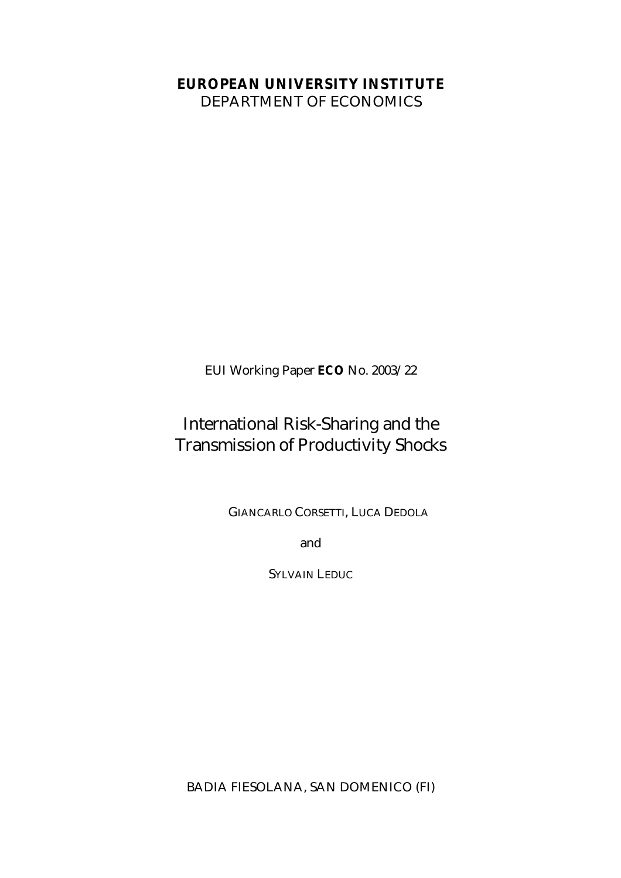# **EUROPEAN UNIVERSITY INSTITUTE**

DEPARTMENT OF ECONOMICS

EUI Working Paper **ECO** No. 2003/22

# International Risk-Sharing and the Transmission of Productivity Shocks

GIANCARLO CORSETTI, LUCA DEDOLA

and

SYLVAIN LEDUC

BADIA FIESOLANA, SAN DOMENICO (FI)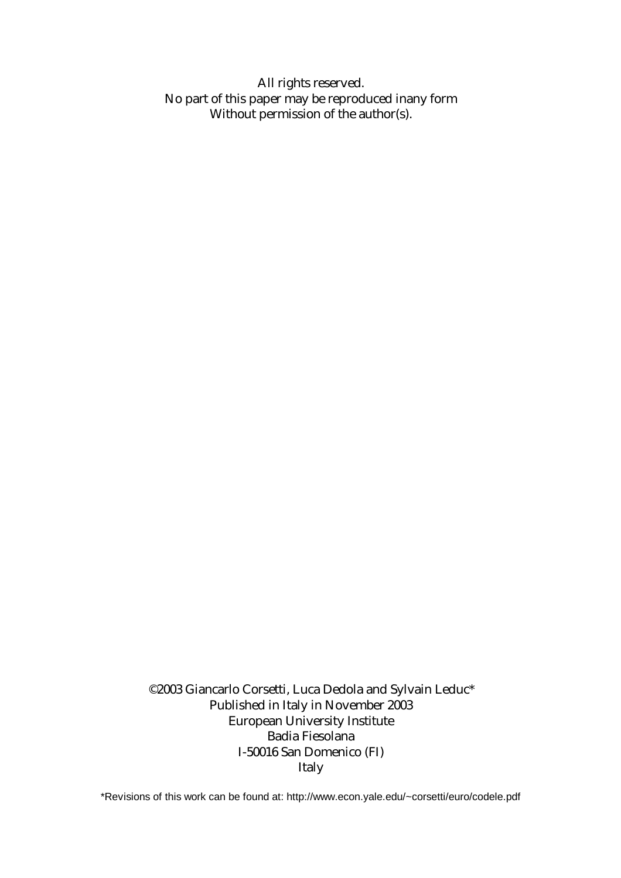All rights reserved. No part of this paper may be reproduced inany form Without permission of the author(s).

©2003 Giancarlo Corsetti, Luca Dedola and Sylvain Leduc\* Published in Italy in November 2003 European University Institute Badia Fiesolana I-50016 San Domenico (FI) Italy

\*Revisions of this work can be found at: http://www.econ.yale.edu/~corsetti/euro/codele.pdf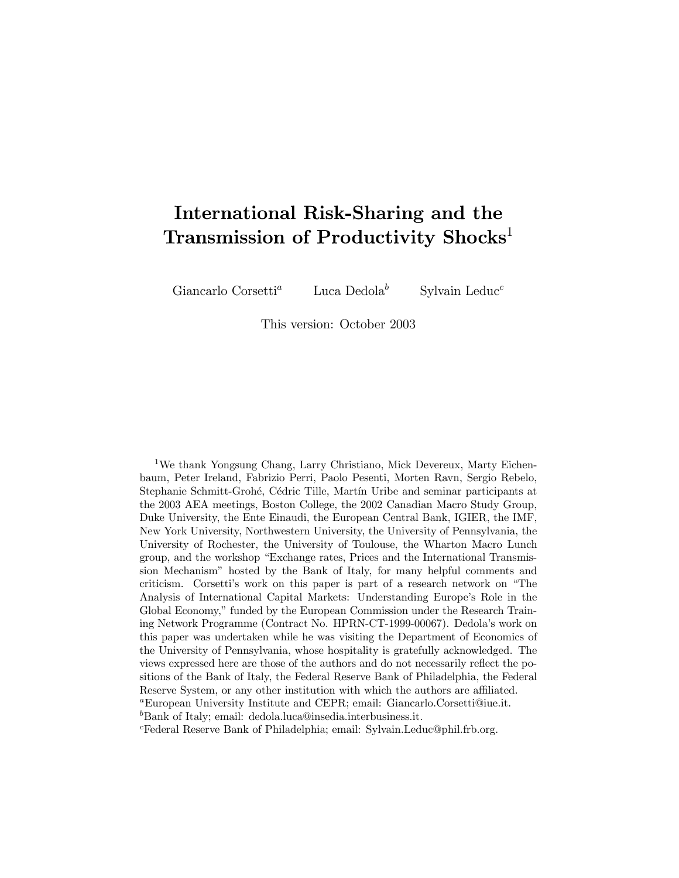# International Risk-Sharing and the Transmission of Productivity Shocks<sup>1</sup>

Giancarlo Corsetti<sup>a</sup> Luca Dedola<sup>b</sup>

Sylvain Leduc<sup>c</sup>

This version: October 2003

<sup>1</sup>We thank Yongsung Chang, Larry Christiano, Mick Devereux, Marty Eichenbaum, Peter Ireland, Fabrizio Perri, Paolo Pesenti, Morten Ravn, Sergio Rebelo, Stephanie Schmitt-Grohé, Cédric Tille, Martín Uribe and seminar participants at the 2003 AEA meetings, Boston College, the 2002 Canadian Macro Study Group, Duke University, the Ente Einaudi, the European Central Bank, IGIER, the IMF, New York University, Northwestern University, the University of Pennsylvania, the University of Rochester, the University of Toulouse, the Wharton Macro Lunch group, and the workshop "Exchange rates, Prices and the International Transmission Mechanismî hosted by the Bank of Italy, for many helpful comments and criticism. Corsetti's work on this paper is part of a research network on "The Analysis of International Capital Markets: Understanding Europe's Role in the Global Economy," funded by the European Commission under the Research Training Network Programme (Contract No. HPRN-CT-1999-00067). Dedolaís work on this paper was undertaken while he was visiting the Department of Economics of the University of Pennsylvania, whose hospitality is gratefully acknowledged. The views expressed here are those of the authors and do not necessarily reflect the positions of the Bank of Italy, the Federal Reserve Bank of Philadelphia, the Federal Reserve System, or any other institution with which the authors are affiliated.<br><sup>a</sup>European University Institute and CEPR; email: Giancarlo.Corsetti@iue.it. <sup>b</sup>Bank of Italy; email: dedola.luca@insedia.interbusiness.it. Federal Reserve Bank of Philadelphia; email: Sylvain.Leduc@phil.frb.org.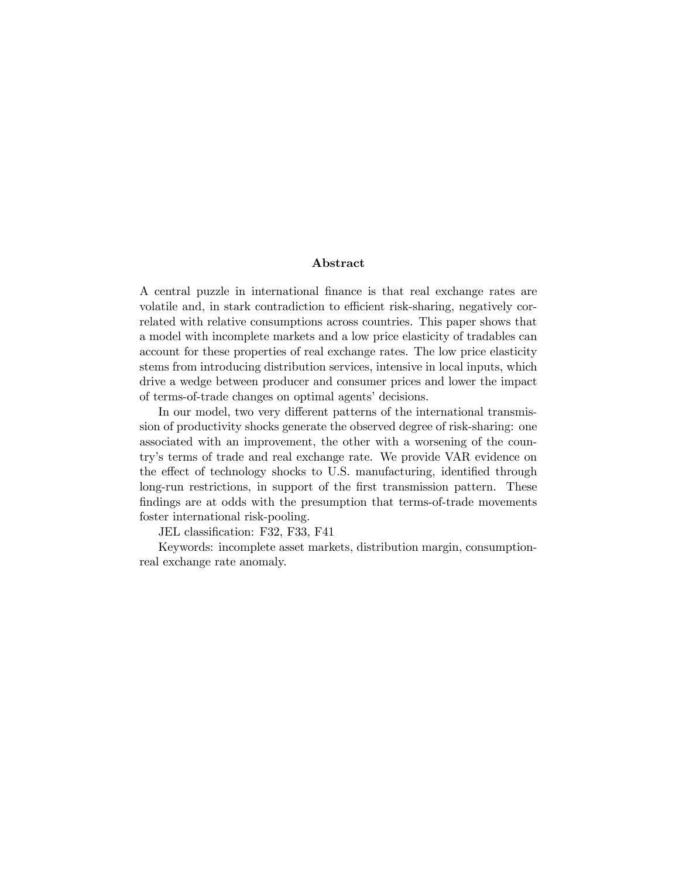# Abstract

A central puzzle in international finance is that real exchange rates are volatile and, in stark contradiction to efficient risk-sharing, negatively correlated with relative consumptions across countries. This paper shows that a model with incomplete markets and a low price elasticity of tradables can account for these properties of real exchange rates. The low price elasticity stems from introducing distribution services, intensive in local inputs, which drive a wedge between producer and consumer prices and lower the impact of terms-of-trade changes on optimal agents' decisions.

In our model, two very different patterns of the international transmission of productivity shocks generate the observed degree of risk-sharing: one associated with an improvement, the other with a worsening of the countryís terms of trade and real exchange rate. We provide VAR evidence on the effect of technology shocks to U.S. manufacturing, identified through long-run restrictions, in support of the first transmission pattern. These findings are at odds with the presumption that terms-of-trade movements foster international risk-pooling.

JEL classification: F32, F33, F41

Keywords: incomplete asset markets, distribution margin, consumptionreal exchange rate anomaly.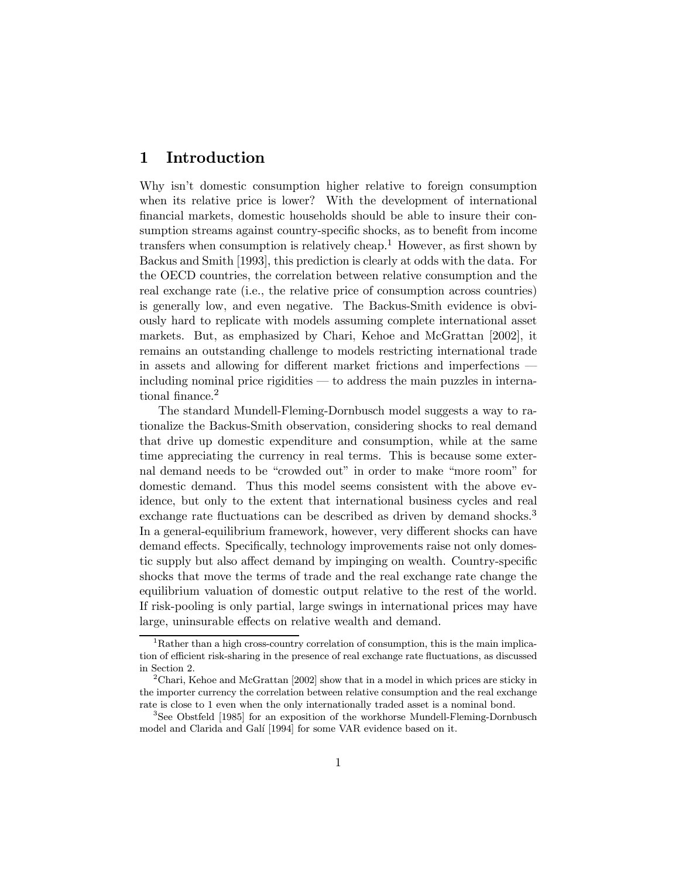### $\mathbf{1}$ Introduction

Why isn't domestic consumption higher relative to foreign consumption when its relative price is lower? With the development of international financial markets, domestic households should be able to insure their consumption streams against country-specific shocks, as to benefit from income transfers when consumption is relatively cheap.<sup>1</sup> However, as first shown by Backus and Smith [1993], this prediction is clearly at odds with the data. For the OECD countries, the correlation between relative consumption and the real exchange rate (i.e., the relative price of consumption across countries) is generally low, and even negative. The Backus-Smith evidence is obviously hard to replicate with models assuming complete international asset markets. But, as emphasized by Chari, Kehoe and McGrattan [2002], it remains an outstanding challenge to models restricting international trade in assets and allowing for different market frictions and imperfections  $\mu$ including nominal price rigidities  $\mu$  to address the main puzzles in international finance.<sup>2</sup>

The standard Mundell-Fleming-Dornbusch model suggests a way to rationalize the Backus-Smith observation, considering shocks to real demand that drive up domestic expenditure and consumption, while at the same time appreciating the currency in real terms. This is because some external demand needs to be "crowded out" in order to make "more room" for domestic demand. Thus this model seems consistent with the above evidence, but only to the extent that international business cycles and real exchange rate fluctuations can be described as driven by demand shocks.<sup>3</sup> In a general-equilibrium framework, however, very different shocks can have demand effects. Specifically, technology improvements raise not only domestic supply but also affect demand by impinging on wealth. Country-specific shocks that move the terms of trade and the real exchange rate change the equilibrium valuation of domestic output relative to the rest of the world. If risk-pooling is only partial, large swings in international prices may have large, uninsurable effects on relative wealth and demand.

 $1<sup>1</sup>$ Rather than a high cross-country correlation of consumption, this is the main implication of efficient risk-sharing in the presence of real exchange rate fluctuations, as discussed in Section 2.

<sup>&</sup>lt;sup>2</sup>Chari, Kehoe and McGrattan [2002] show that in a model in which prices are sticky in the importer currency the correlation between relative consumption and the real exchange rate is close to 1 even when the only internationally traded asset is a nominal bond.

<sup>&</sup>lt;sup>3</sup>See Obstfeld [1985] for an exposition of the workhorse Mundell-Fleming-Dornbusch model and Clarida and Galí [1994] for some VAR evidence based on it.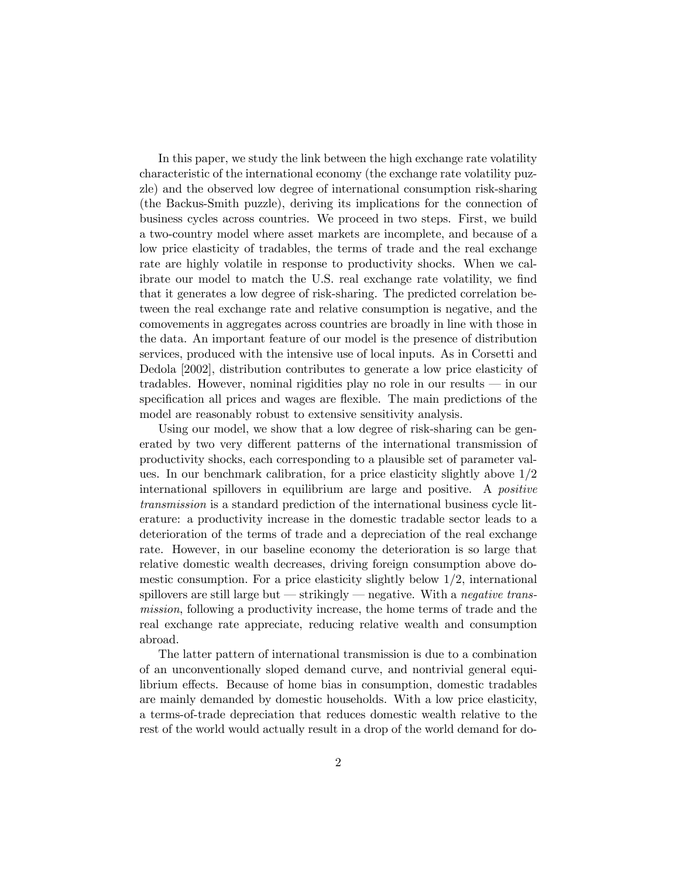In this paper, we study the link between the high exchange rate volatility characteristic of the international economy (the exchange rate volatility puzzle) and the observed low degree of international consumption risk-sharing (the Backus-Smith puzzle), deriving its implications for the connection of business cycles across countries. We proceed in two steps. First, we build a two-country model where asset markets are incomplete, and because of a low price elasticity of tradables, the terms of trade and the real exchange rate are highly volatile in response to productivity shocks. When we calibrate our model to match the U.S. real exchange rate volatility, we find that it generates a low degree of risk-sharing. The predicted correlation between the real exchange rate and relative consumption is negative, and the comovements in aggregates across countries are broadly in line with those in the data. An important feature of our model is the presence of distribution services, produced with the intensive use of local inputs. As in Corsetti and Dedola [2002], distribution contributes to generate a low price elasticity of tradables. However, nominal rigidities play no role in our results  $-$  in our specification all prices and wages are flexible. The main predictions of the model are reasonably robust to extensive sensitivity analysis.

Using our model, we show that a low degree of risk-sharing can be generated by two very different patterns of the international transmission of productivity shocks, each corresponding to a plausible set of parameter values. In our benchmark calibration, for a price elasticity slightly above 1/2 international spillovers in equilibrium are large and positive. A positive transmission is a standard prediction of the international business cycle literature: a productivity increase in the domestic tradable sector leads to a deterioration of the terms of trade and a depreciation of the real exchange rate. However, in our baseline economy the deterioration is so large that relative domestic wealth decreases, driving foreign consumption above domestic consumption. For a price elasticity slightly below 1/2, international spillovers are still large but  $-$  strikingly  $-$  negative. With a negative transmission, following a productivity increase, the home terms of trade and the real exchange rate appreciate, reducing relative wealth and consumption abroad.

The latter pattern of international transmission is due to a combination of an unconventionally sloped demand curve, and nontrivial general equilibrium effects. Because of home bias in consumption, domestic tradables are mainly demanded by domestic households. With a low price elasticity, a terms-of-trade depreciation that reduces domestic wealth relative to the rest of the world would actually result in a drop of the world demand for do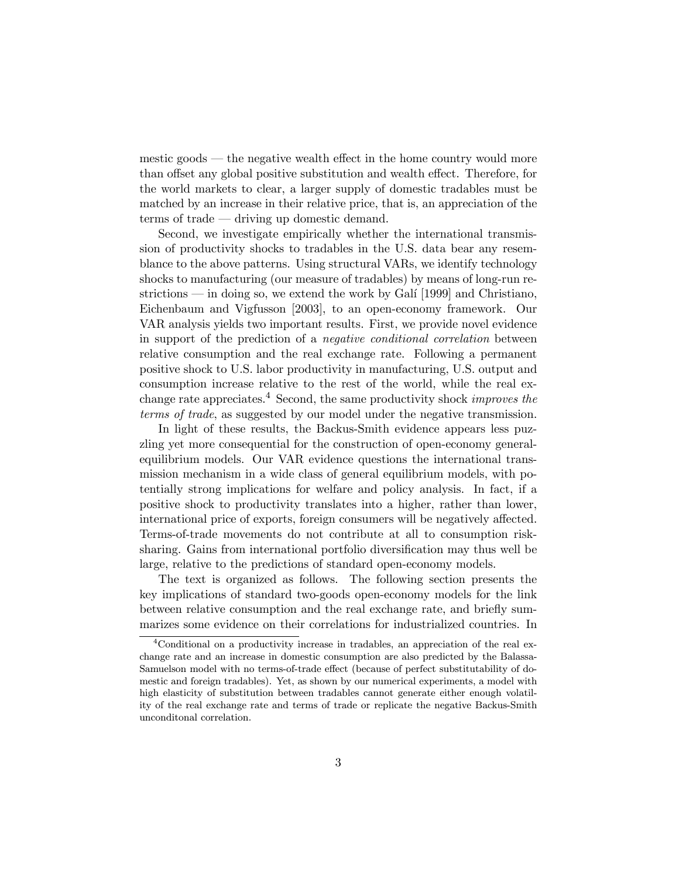mestic goods — the negative wealth effect in the home country would more than offset any global positive substitution and wealth effect. Therefore, for the world markets to clear, a larger supply of domestic tradables must be matched by an increase in their relative price, that is, an appreciation of the  $terms of trade—driving up domestic demand.$ 

Second, we investigate empirically whether the international transmission of productivity shocks to tradables in the U.S. data bear any resemblance to the above patterns. Using structural VARs, we identify technology shocks to manufacturing (our measure of tradables) by means of long-run restrictions  $\frac{m}{n}$  in doing so, we extend the work by Gali [1999] and Christiano, Eichenbaum and Vigfusson [2003], to an open-economy framework. Our VAR analysis yields two important results. First, we provide novel evidence in support of the prediction of a negative conditional correlation between relative consumption and the real exchange rate. Following a permanent positive shock to U.S. labor productivity in manufacturing, U.S. output and consumption increase relative to the rest of the world, while the real exchange rate appreciates.<sup>4</sup> Second, the same productivity shock *improves the* terms of trade, as suggested by our model under the negative transmission.

In light of these results, the Backus-Smith evidence appears less puzzling yet more consequential for the construction of open-economy generalequilibrium models. Our VAR evidence questions the international transmission mechanism in a wide class of general equilibrium models, with potentially strong implications for welfare and policy analysis. In fact, if a positive shock to productivity translates into a higher, rather than lower, international price of exports, foreign consumers will be negatively affected. Terms-of-trade movements do not contribute at all to consumption risksharing. Gains from international portfolio diversification may thus well be large, relative to the predictions of standard open-economy models.

The text is organized as follows. The following section presents the key implications of standard two-goods open-economy models for the link between relative consumption and the real exchange rate, and briefly summarizes some evidence on their correlations for industrialized countries. In

<sup>4</sup>Conditional on a productivity increase in tradables, an appreciation of the real exchange rate and an increase in domestic consumption are also predicted by the Balassa-Samuelson model with no terms-of-trade effect (because of perfect substitutability of domestic and foreign tradables). Yet, as shown by our numerical experiments, a model with high elasticity of substitution between tradables cannot generate either enough volatility of the real exchange rate and terms of trade or replicate the negative Backus-Smith unconditonal correlation.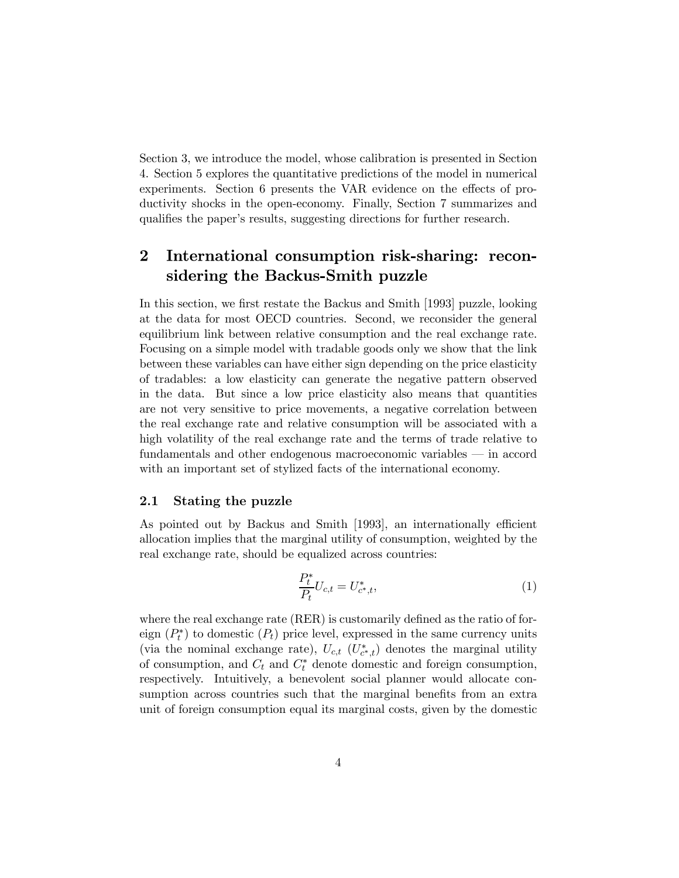Section 3, we introduce the model, whose calibration is presented in Section 4. Section 5 explores the quantitative predictions of the model in numerical experiments. Section 6 presents the VAR evidence on the effects of productivity shocks in the open-economy. Finally, Section 7 summarizes and qualifies the paper's results, suggesting directions for further research.

### $\bf{2}$ International consumption risk-sharing: reconsidering the Backus-Smith puzzle

In this section, we first restate the Backus and Smith [1993] puzzle, looking at the data for most OECD countries. Second, we reconsider the general equilibrium link between relative consumption and the real exchange rate. Focusing on a simple model with tradable goods only we show that the link between these variables can have either sign depending on the price elasticity of tradables: a low elasticity can generate the negative pattern observed in the data. But since a low price elasticity also means that quantities are not very sensitive to price movements, a negative correlation between the real exchange rate and relative consumption will be associated with a high volatility of the real exchange rate and the terms of trade relative to fundamentals and other endogenous macroeconomic variables — in accord with an important set of stylized facts of the international economy.

# 2.1 Stating the puzzle

As pointed out by Backus and Smith [1993], an internationally efficient allocation implies that the marginal utility of consumption, weighted by the real exchange rate, should be equalized across countries:

$$
\frac{P_t^*}{P_t} U_{c,t} = U_{c^*,t}^*,\tag{1}
$$

where the real exchange rate (RER) is customarily defined as the ratio of foreign  $(P_t^*)$  to domestic  $(P_t)$  price level, expressed in the same currency units (via the nominal exchange rate),  $U_{c,t}$  ( $U_{c*,t}^*$ ) denotes the marginal utility of consumption, and  $C_t$  and  $C_t^*$  denote domestic and foreign consumption, respectively. Intuitively, a benevolent social planner would allocate consumption across countries such that the marginal benefits from an extra unit of foreign consumption equal its marginal costs, given by the domestic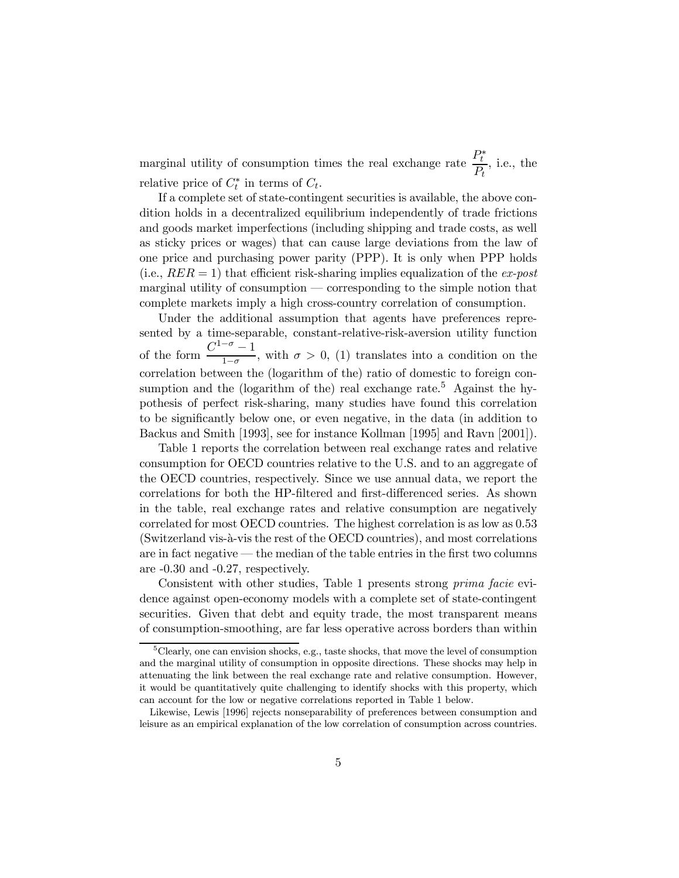marginal utility of consumption times the real exchange rate  $\frac{P_t^*}{R}$  $\frac{t}{P_t}$ , i.e., the relative price of  $C_t^*$  in terms of  $C_t$ .

If a complete set of state-contingent securities is available, the above condition holds in a decentralized equilibrium independently of trade frictions and goods market imperfections (including shipping and trade costs, as well as sticky prices or wages) that can cause large deviations from the law of one price and purchasing power parity (PPP). It is only when PPP holds (i.e.,  $RER = 1$ ) that efficient risk-sharing implies equalization of the ex-post  $marginal$  utility of consumption  $\sim$  corresponding to the simple notion that complete markets imply a high cross-country correlation of consumption.

Under the additional assumption that agents have preferences represented by a time-separable, constant-relative-risk-aversion utility function of the form  $\frac{C^{1-\sigma}-1}{1-\sigma}$ , with  $\sigma > 0$ , (1) translates into a condition on the correlation between the (logarithm of the) ratio of domestic to foreign consumption and the (logarithm of the) real exchange rate.<sup>5</sup> Against the hypothesis of perfect risk-sharing, many studies have found this correlation to be significantly below one, or even negative, in the data (in addition to Backus and Smith [1993], see for instance Kollman [1995] and Ravn [2001]).

Table 1 reports the correlation between real exchange rates and relative consumption for OECD countries relative to the U.S. and to an aggregate of the OECD countries, respectively. Since we use annual data, we report the correlations for both the HP-filtered and first-differenced series. As shown in the table, real exchange rates and relative consumption are negatively correlated for most OECD countries. The highest correlation is as low as 0.53 (Switzerland vis-à-vis the rest of the OECD countries), and most correlations are in fact negative  $-$  the median of the table entries in the first two columns are -0.30 and -0.27, respectively.

Consistent with other studies, Table 1 presents strong prima facie evidence against open-economy models with a complete set of state-contingent securities. Given that debt and equity trade, the most transparent means of consumption-smoothing, are far less operative across borders than within

<sup>&</sup>lt;sup>5</sup>Clearly, one can envision shocks, e.g., taste shocks, that move the level of consumption and the marginal utility of consumption in opposite directions. These shocks may help in attenuating the link between the real exchange rate and relative consumption. However, it would be quantitatively quite challenging to identify shocks with this property, which can account for the low or negative correlations reported in Table 1 below.

Likewise, Lewis [1996] rejects nonseparability of preferences between consumption and leisure as an empirical explanation of the low correlation of consumption across countries.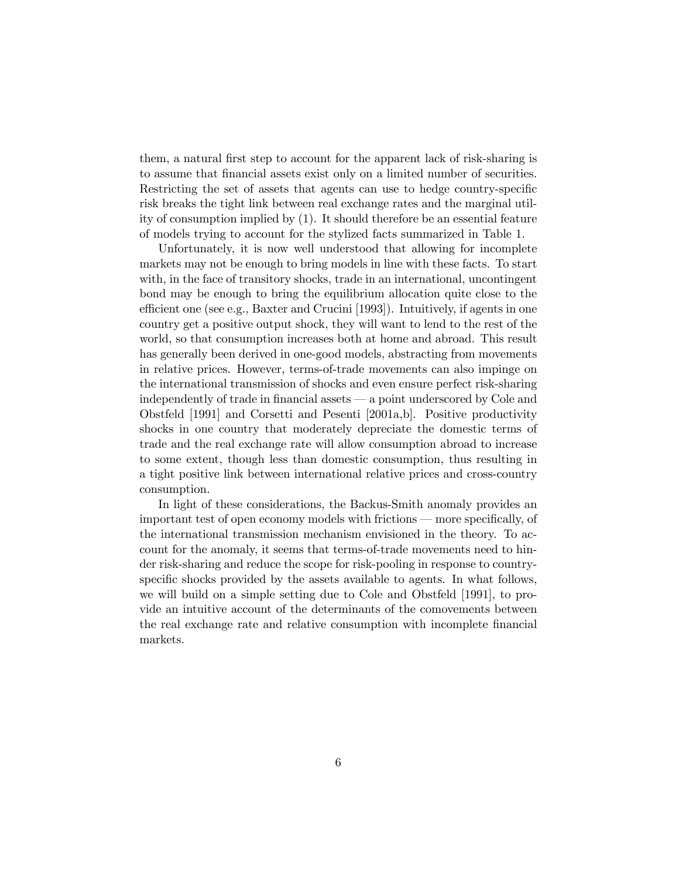them, a natural first step to account for the apparent lack of risk-sharing is to assume that financial assets exist only on a limited number of securities. Restricting the set of assets that agents can use to hedge country-specific risk breaks the tight link between real exchange rates and the marginal utility of consumption implied by (1). It should therefore be an essential feature of models trying to account for the stylized facts summarized in Table 1.

Unfortunately, it is now well understood that allowing for incomplete markets may not be enough to bring models in line with these facts. To start with, in the face of transitory shocks, trade in an international, uncontingent bond may be enough to bring the equilibrium allocation quite close to the efficient one (see e.g., Baxter and Crucini [1993]). Intuitively, if agents in one country get a positive output shock, they will want to lend to the rest of the world, so that consumption increases both at home and abroad. This result has generally been derived in one-good models, abstracting from movements in relative prices. However, terms-of-trade movements can also impinge on the international transmission of shocks and even ensure perfect risk-sharing independently of trade in financial assets — a point underscored by Cole and Obstfeld [1991] and Corsetti and Pesenti [2001a,b]. Positive productivity shocks in one country that moderately depreciate the domestic terms of trade and the real exchange rate will allow consumption abroad to increase to some extent, though less than domestic consumption, thus resulting in a tight positive link between international relative prices and cross-country consumption.

In light of these considerations, the Backus-Smith anomaly provides an important test of open economy models with frictions — more specifically, of the international transmission mechanism envisioned in the theory. To account for the anomaly, it seems that terms-of-trade movements need to hinder risk-sharing and reduce the scope for risk-pooling in response to countryspecific shocks provided by the assets available to agents. In what follows, we will build on a simple setting due to Cole and Obstfeld [1991], to provide an intuitive account of the determinants of the comovements between the real exchange rate and relative consumption with incomplete financial markets.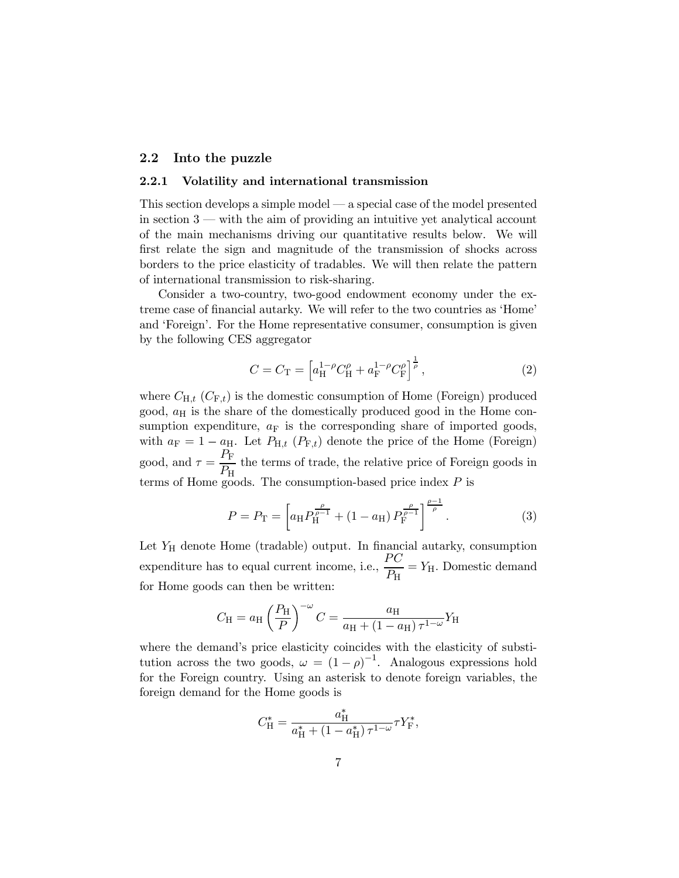# 2.2 Into the puzzle

# 2.2.1 Volatility and international transmission

This section develops a simple model  $\sim$  a special case of the model presented in section  $3$   $-$  with the aim of providing an intuitive yet analytical account of the main mechanisms driving our quantitative results below. We will first relate the sign and magnitude of the transmission of shocks across borders to the price elasticity of tradables. We will then relate the pattern of international transmission to risk-sharing.

Consider a two-country, two-good endowment economy under the extreme case of financial autarky. We will refer to the two countries as 'Home' and 'Foreign'. For the Home representative consumer, consumption is given by the following CES aggregator

$$
C = C_{\rm T} = \left[ a_{\rm H}^{1-\rho} C_{\rm H}^{\rho} + a_{\rm F}^{1-\rho} C_{\rm F}^{\rho} \right]^{\frac{1}{\rho}},\tag{2}
$$

where  $C_{H,t}$  ( $C_{F,t}$ ) is the domestic consumption of Home (Foreign) produced good,  $a_H$  is the share of the domestically produced good in the Home consumption expenditure,  $a_F$  is the corresponding share of imported goods, with  $a_F = 1 - a_H$ . Let  $P_{H,t}$  ( $P_{F,t}$ ) denote the price of the Home (Foreign) good, and  $\tau = \frac{P_{\rm F}}{P_{\rm F}}$  $\frac{H_F}{P_H}$  the terms of trade, the relative price of Foreign goods in terms of Home goods. The consumption-based price index  $P$  is

$$
P = P_{\rm T} = \left[ a_{\rm H} P_{\rm H}^{\frac{\rho}{\rho - 1}} + (1 - a_{\rm H}) P_{\rm F}^{\frac{\rho}{\rho - 1}} \right]^{\frac{\rho - 1}{\rho}}.
$$
 (3)

Let  $Y_H$  denote Home (tradable) output. In financial autarky, consumption expenditure has to equal current income, i.e.,  $\frac{PC}{P}$  $\frac{H}{P_{\rm H}} = Y_{\rm H}$ . Domestic demand for Home goods can then be written:

$$
C_{\rm H} = a_{\rm H} \left(\frac{P_{\rm H}}{P}\right)^{-\omega} C = \frac{a_{\rm H}}{a_{\rm H} + (1 - a_{\rm H}) \tau^{1 - \omega}} Y_{\rm H}
$$

where the demand's price elasticity coincides with the elasticity of substitution across the two goods,  $\omega = (1 - \rho)^{-1}$ . Analogous expressions hold for the Foreign country. Using an asterisk to denote foreign variables, the foreign demand for the Home goods is

$$
C_{\rm H}^* = \frac{a_{\rm H}^*}{a_{\rm H}^* + (1 - a_{\rm H}^*) \tau^{1 - \omega}} \tau Y_{\rm F}^*,
$$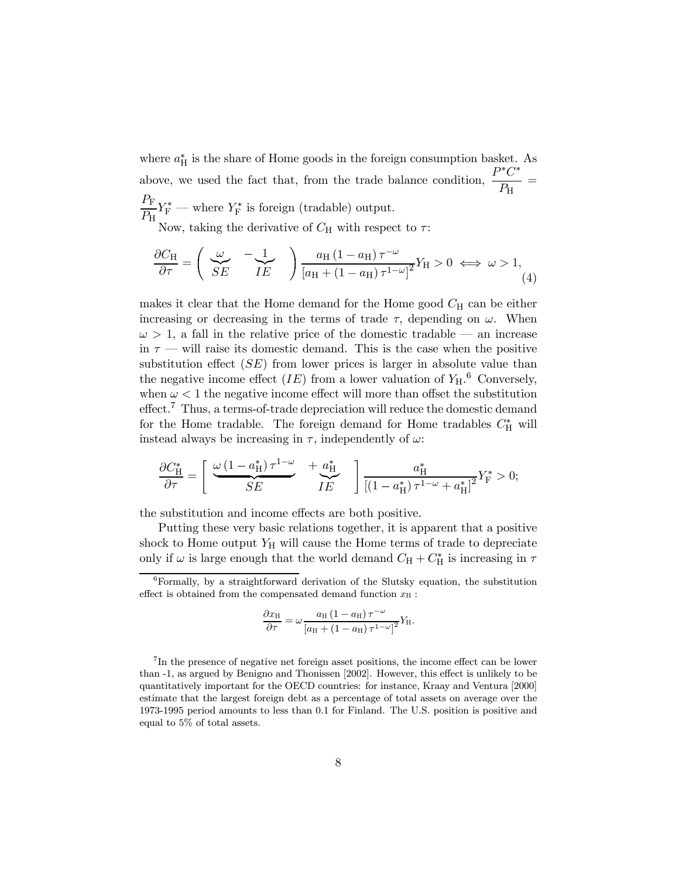where  $a_H^*$  is the share of Home goods in the foreign consumption basket. As above, we used the fact that, from the trade balance condition,  $\frac{P^*C^*}{P}$  $\frac{\sigma}{P_{\rm H}}$  =  $P_{\rm F}$  $\frac{F_F}{P_H} Y_F^*$  — where  $Y_F^*$  is foreign (tradable) output.

Now, taking the derivative of  $C_H$  with respect to  $\tau$ :

$$
\frac{\partial C_{\rm H}}{\partial \tau} = \begin{pmatrix} \omega & -\frac{1}{\sqrt{E}} \\ SE & IE \end{pmatrix} \frac{a_{\rm H} (1 - a_{\rm H}) \tau^{-\omega}}{[a_{\rm H} + (1 - a_{\rm H}) \tau^{1 - \omega}]^2} Y_{\rm H} > 0 \iff \omega > 1,
$$
\n(4)

makes it clear that the Home demand for the Home good  $C_H$  can be either increasing or decreasing in the terms of trade  $\tau$ , depending on  $\omega$ . When  $\omega > 1$ , a fall in the relative price of the domestic tradable — an increase in  $\tau$  — will raise its domestic demand. This is the case when the positive substitution effect  $(SE)$  from lower prices is larger in absolute value than the negative income effect  $(IE)$  from a lower valuation of  $Y_{H}$ .<sup>6</sup> Conversely, when  $\omega < 1$  the negative income effect will more than offset the substitution effect.<sup>7</sup> Thus, a terms-of-trade depreciation will reduce the domestic demand for the Home tradable. The foreign demand for Home tradables  $C_{\rm H}^*$  will instead always be increasing in  $\tau$ , independently of  $\omega$ .

$$
\frac{\partial C_{\rm H}^*}{\partial \tau} = \left[ \begin{array}{cc} \underline{\omega \left(1-a_{\rm H}^*\right) \tau^{1-\omega}} & \displaystyle +\underline{a_{\rm H}^*} \\ \overline{SE} & I E \end{array} \right] \frac{a_{\rm H}^*}{\left[\left(1-a_{\rm H}^*\right) \tau^{1-\omega}+a_{\rm H}^*\right]^2} Y_{\rm F}^* > 0;
$$

the substitution and income effects are both positive.

Putting these very basic relations together, it is apparent that a positive shock to Home output  $Y_H$  will cause the Home terms of trade to depreciate only if  $\omega$  is large enough that the world demand  $C_H + C_H^*$  is increasing in  $\tau$ 

$$
\frac{\partial x_{\rm H}}{\partial \tau} = \omega \frac{a_{\rm H} (1 - a_{\rm H}) \tau^{-\omega}}{[a_{\rm H} + (1 - a_{\rm H}) \tau^{1-\omega}]^2} Y_{\rm H}.
$$

 $6$ Formally, by a straightforward derivation of the Slutsky equation, the substitution effect is obtained from the compensated demand function  $x_H$ :

<sup>&</sup>lt;sup>7</sup>In the presence of negative net foreign asset positions, the income effect can be lower than -1, as argued by Benigno and Thonissen [2002]. However, this effect is unlikely to be quantitatively important for the OECD countries: for instance, Kraay and Ventura [2000] estimate that the largest foreign debt as a percentage of total assets on average over the 1973-1995 period amounts to less than 0.1 for Finland. The U.S. position is positive and equal to 5% of total assets.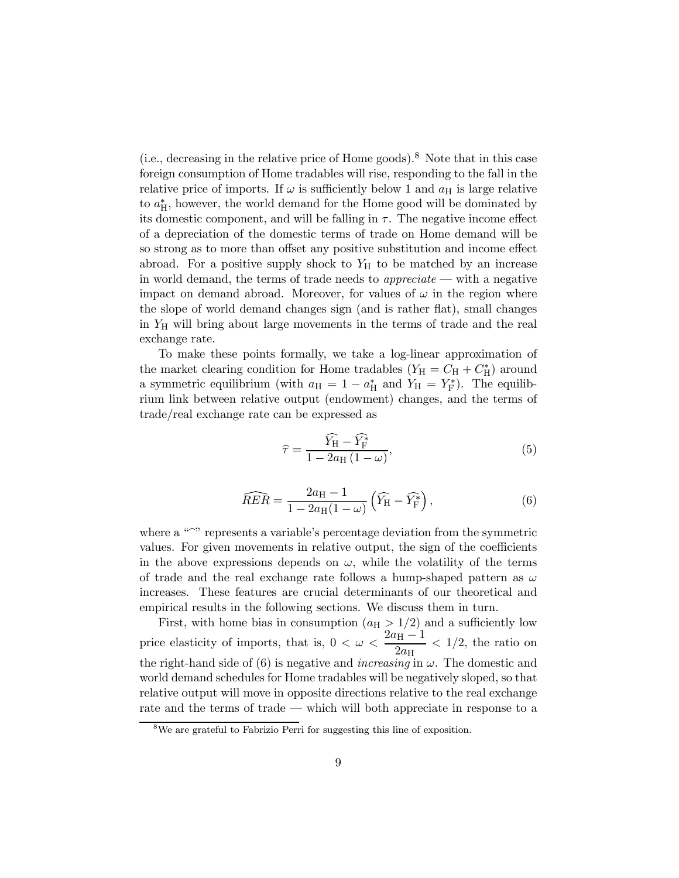(i.e., decreasing in the relative price of Home goods).<sup>8</sup> Note that in this case foreign consumption of Home tradables will rise, responding to the fall in the relative price of imports. If  $\omega$  is sufficiently below 1 and  $a_H$  is large relative to  $a_{\text{H}}^{*}$ , however, the world demand for the Home good will be dominated by its domestic component, and will be falling in  $\tau$ . The negative income effect of a depreciation of the domestic terms of trade on Home demand will be so strong as to more than offset any positive substitution and income effect abroad. For a positive supply shock to  $Y_H$  to be matched by an increase in world demand, the terms of trade needs to *appreciate*  $\sim$  with a negative impact on demand abroad. Moreover, for values of  $\omega$  in the region where the slope of world demand changes sign (and is rather flat), small changes in  $Y_H$  will bring about large movements in the terms of trade and the real exchange rate.

To make these points formally, we take a log-linear approximation of the market clearing condition for Home tradables  $(Y_H = C_H + C_H^*)$  around a symmetric equilibrium (with  $a_H = 1 - a_H^*$  and  $Y_H = Y_F^*$ ). The equilibrium link between relative output (endowment) changes, and the terms of trade/real exchange rate can be expressed as

$$
\widehat{\tau} = \frac{\widehat{Y}_{\mathrm{H}} - \widehat{Y}_{\mathrm{F}}^*}{1 - 2a_{\mathrm{H}}\left(1 - \omega\right)},\tag{5}
$$

$$
\widehat{RER} = \frac{2a_{\rm H} - 1}{1 - 2a_{\rm H}(1 - \omega)} \left( \widehat{Y}_{\rm H} - \widehat{Y}_{\rm F}^* \right),\tag{6}
$$

where a  $\omega$  represents a variable's percentage deviation from the symmetric values. For given movements in relative output, the sign of the coefficients in the above expressions depends on  $\omega$ , while the volatility of the terms of trade and the real exchange rate follows a hump-shaped pattern as  $\omega$ increases. These features are crucial determinants of our theoretical and empirical results in the following sections. We discuss them in turn.

First, with home bias in consumption  $(a_H > 1/2)$  and a sufficiently low price elasticity of imports, that is,  $0 < \omega < \frac{2a_{\text{H}} - 1}{2}$  $\frac{\nu_{\text{H}}}{2a_{\text{H}}}$  < 1/2, the ratio on the right-hand side of (6) is negative and *increasing* in  $\omega$ . The domestic and world demand schedules for Home tradables will be negatively sloped, so that relative output will move in opposite directions relative to the real exchange rate and the terms of trade  $-$  which will both appreciate in response to a

<sup>8</sup>We are grateful to Fabrizio Perri for suggesting this line of exposition.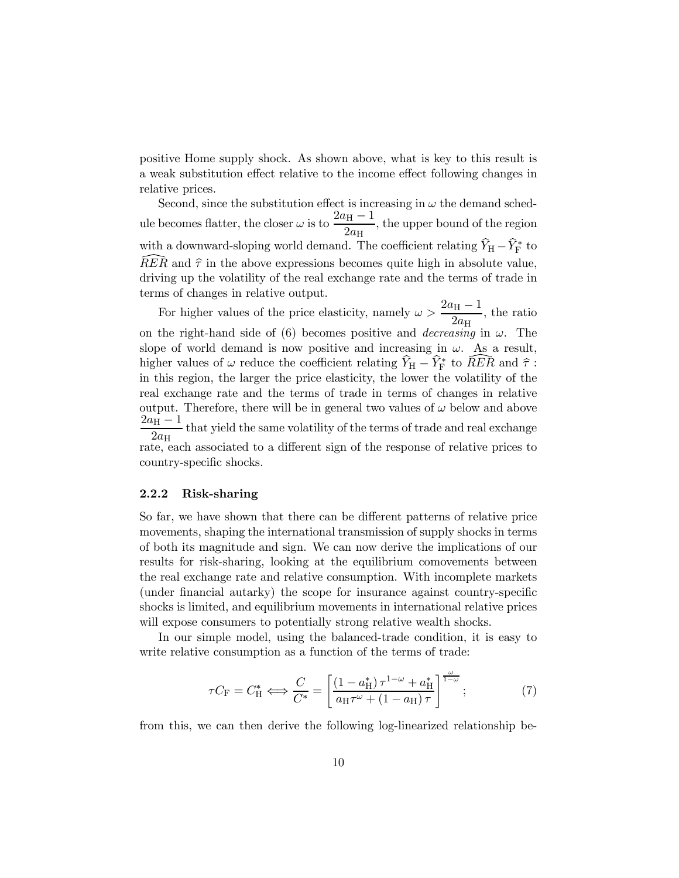positive Home supply shock. As shown above, what is key to this result is a weak substitution effect relative to the income effect following changes in relative prices.

Second, since the substitution effect is increasing in  $\omega$  the demand schedule becomes flatter, the closer  $\omega$  is to  $\frac{2a_H-1}{2}$  $\frac{v_{\text{H}}}{2a_{\text{H}}}$ , the upper bound of the region with a downward-sloping world demand. The coefficient relating  $Y_{\rm H} - Y_{\rm F}^*$  to RER and  $\hat{\tau}$  in the above expressions becomes quite high in absolute value, driving up the volatility of the real exchange rate and the terms of trade in terms of changes in relative output.

For higher values of the price elasticity, namely  $\omega > \frac{2a_H - 1}{2}$  $\frac{v_{\rm H}}{2a_{\rm H}}$ , the ratio on the right-hand side of (6) becomes positive and *decreasing* in  $\omega$ . The slope of world demand is now positive and increasing in  $\omega$ . As a result, higher values of  $\omega$  reduce the coefficient relating  $Y_{\rm H} - Y_{\rm F}^*$  to  $RER$  and  $\hat{\tau}$ : in this region, the larger the price elasticity, the lower the volatility of the real exchange rate and the terms of trade in terms of changes in relative output. Therefore, there will be in general two values of  $\omega$  below and above  $2a_H - 1$  $\frac{v_{\text{H}}}{2a_{\text{H}}}$  that yield the same volatility of the terms of trade and real exchange rate, each associated to a different sign of the response of relative prices to country-specific shocks.

## 2.2.2 Risk-sharing

So far, we have shown that there can be different patterns of relative price movements, shaping the international transmission of supply shocks in terms of both its magnitude and sign. We can now derive the implications of our results for risk-sharing, looking at the equilibrium comovements between the real exchange rate and relative consumption. With incomplete markets (under financial autarky) the scope for insurance against country-specific shocks is limited, and equilibrium movements in international relative prices will expose consumers to potentially strong relative wealth shocks.

In our simple model, using the balanced-trade condition, it is easy to write relative consumption as a function of the terms of trade:

$$
\tau C_{\rm F} = C_{\rm H}^* \Longleftrightarrow \frac{C}{C^*} = \left[ \frac{\left(1 - a_{\rm H}^*\right) \tau^{1 - \omega} + a_{\rm H}^*}{a_{\rm H} \tau^{\omega} + \left(1 - a_{\rm H}\right) \tau} \right]^{\frac{\omega}{1 - \omega}}; \tag{7}
$$

from this, we can then derive the following log-linearized relationship be-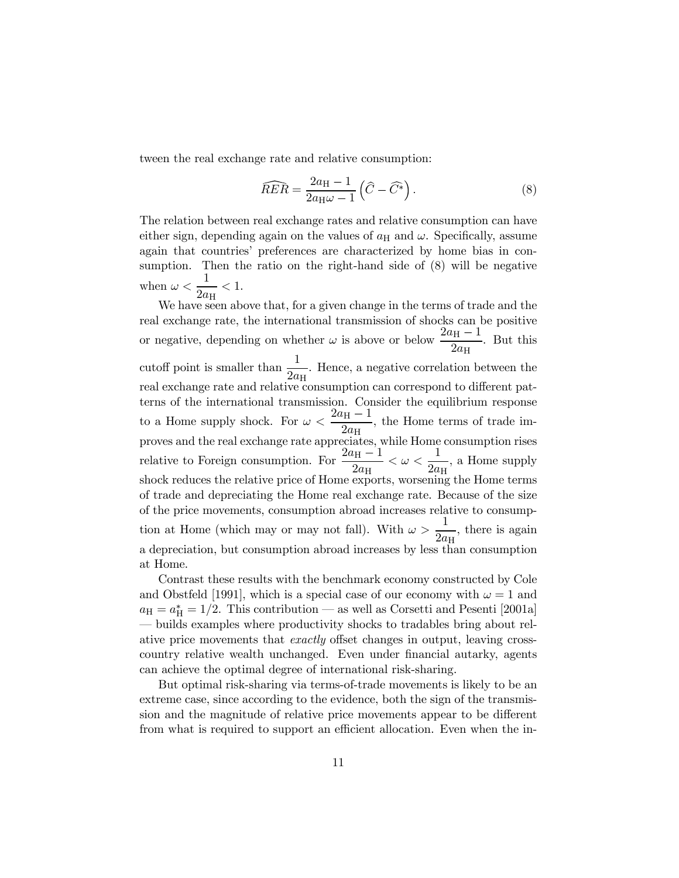tween the real exchange rate and relative consumption:

$$
\widehat{RER} = \frac{2a_{\rm H} - 1}{2a_{\rm H}\omega - 1} \left( \widehat{C} - \widehat{C}^* \right). \tag{8}
$$

The relation between real exchange rates and relative consumption can have either sign, depending again on the values of  $a_H$  and  $\omega$ . Specifically, assume again that countries' preferences are characterized by home bias in consumption. Then the ratio on the right-hand side of (8) will be negative when  $\omega < \frac{1}{2}$  $\frac{1}{2a_{\rm H}} < 1.$ 

We have seen above that, for a given change in the terms of trade and the real exchange rate, the international transmission of shocks can be positive or negative, depending on whether  $\omega$  is above or below  $\frac{2a_H - 1}{2a_H}$ . But this cutoff point is smaller than  $\frac{1}{2}$  $\frac{1}{2a_{\rm H}}$ . Hence, a negative correlation between the real exchange rate and relative consumption can correspond to different patterns of the international transmission. Consider the equilibrium response to a Home supply shock. For  $\omega < \frac{2a_H - 1}{2}$  $\frac{v_{\text{H}}}{2a_{\text{H}}}$ , the Home terms of trade improves and the real exchange rate appreciates, while Home consumption rises relative to Foreign consumption. For  $\frac{2a_{\text{H}}-1}{2}$  $\frac{a_\mathrm{H}-1}{2a_\mathrm{H}} < \omega < \frac{1}{2a_\mathrm{H}}$  $\frac{1}{2a_{\rm H}}$ , a Home supply shock reduces the relative price of Home exports, worsening the Home terms of trade and depreciating the Home real exchange rate. Because of the size of the price movements, consumption abroad increases relative to consumption at Home (which may or may not fall). With  $\omega > \frac{1}{2}$  $\frac{1}{2a_{\rm H}}$ , there is again a depreciation, but consumption abroad increases by less than consumption at Home.

Contrast these results with the benchmark economy constructed by Cole and Obstfeld [1991], which is a special case of our economy with  $\omega = 1$  and  $a_{\rm H} = a_{\rm H}^* = 1/2$ . This contribution — as well as Corsetti and Pesenti [2001a] ñ builds examples where productivity shocks to tradables bring about relative price movements that exactly offset changes in output, leaving crosscountry relative wealth unchanged. Even under financial autarky, agents can achieve the optimal degree of international risk-sharing.

But optimal risk-sharing via terms-of-trade movements is likely to be an extreme case, since according to the evidence, both the sign of the transmission and the magnitude of relative price movements appear to be different from what is required to support an efficient allocation. Even when the in-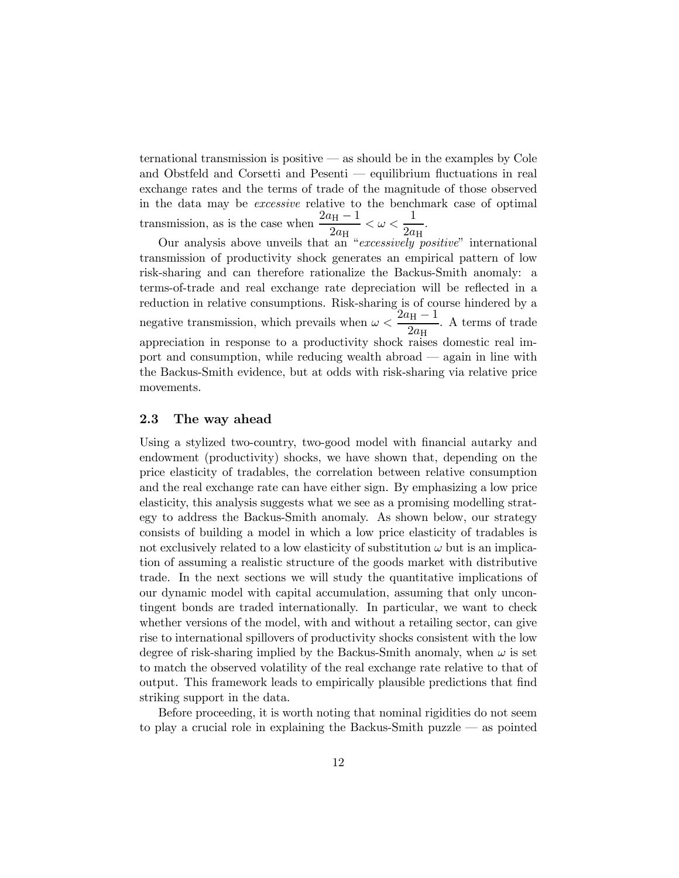ternational transmission is positive  $\sim$  as should be in the examples by Cole and Obstfeld and Corsetti and Pesenti  $-$  equilibrium fluctuations in real exchange rates and the terms of trade of the magnitude of those observed in the data may be excessive relative to the benchmark case of optimal transmission, as is the case when  $\frac{2a_H - 1}{2}$  $\frac{a_\mathrm{H}-1}{2a_\mathrm{H}} < \omega < \frac{1}{2a_\mathrm{H}}$  $\frac{1}{2a_{\rm H}}$ .

Our analysis above unveils that an "excessively positive" international transmission of productivity shock generates an empirical pattern of low risk-sharing and can therefore rationalize the Backus-Smith anomaly: a terms-of-trade and real exchange rate depreciation will be reflected in a reduction in relative consumptions. Risk-sharing is of course hindered by a negative transmission, which prevails when  $\omega < \frac{2a_{\text{H}}-1}{2}$  $\frac{v_{\text{H}}}{2a_{\text{H}}}$ . A terms of trade appreciation in response to a productivity shock raises domestic real import and consumption, while reducing wealth abroad  $\frac{1}{\sqrt{2}}$  again in line with the Backus-Smith evidence, but at odds with risk-sharing via relative price movements.

# 2.3 The way ahead

Using a stylized two-country, two-good model with financial autarky and endowment (productivity) shocks, we have shown that, depending on the price elasticity of tradables, the correlation between relative consumption and the real exchange rate can have either sign. By emphasizing a low price elasticity, this analysis suggests what we see as a promising modelling strategy to address the Backus-Smith anomaly. As shown below, our strategy consists of building a model in which a low price elasticity of tradables is not exclusively related to a low elasticity of substitution  $\omega$  but is an implication of assuming a realistic structure of the goods market with distributive trade. In the next sections we will study the quantitative implications of our dynamic model with capital accumulation, assuming that only uncontingent bonds are traded internationally. In particular, we want to check whether versions of the model, with and without a retailing sector, can give rise to international spillovers of productivity shocks consistent with the low degree of risk-sharing implied by the Backus-Smith anomaly, when  $\omega$  is set to match the observed volatility of the real exchange rate relative to that of output. This framework leads to empirically plausible predictions that find striking support in the data.

Before proceeding, it is worth noting that nominal rigidities do not seem to play a crucial role in explaining the Backus-Smith puzzle  $\sim$  as pointed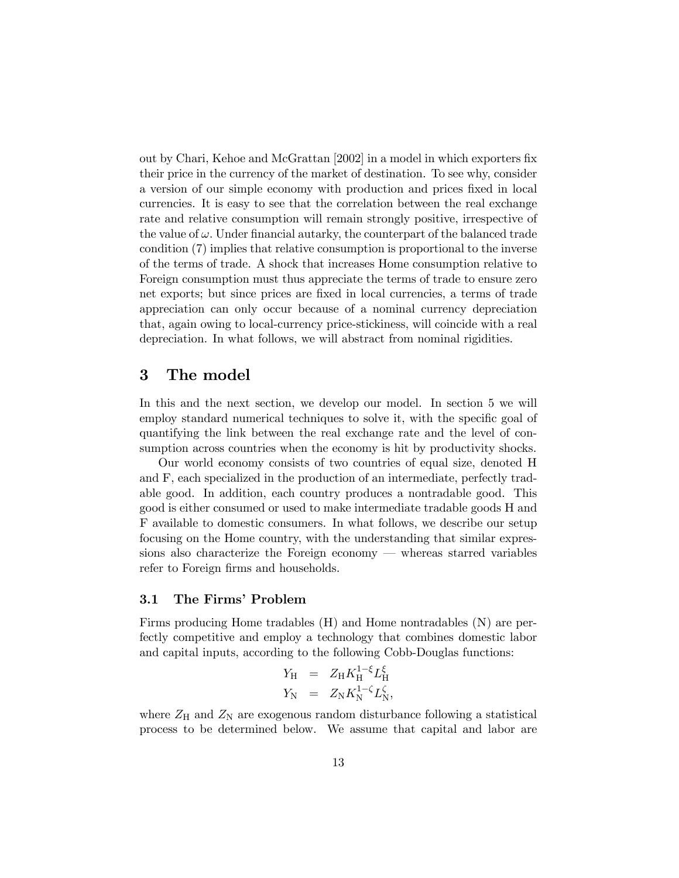out by Chari, Kehoe and McGrattan [2002] in a model in which exporters fix their price in the currency of the market of destination. To see why, consider a version of our simple economy with production and prices fixed in local currencies. It is easy to see that the correlation between the real exchange rate and relative consumption will remain strongly positive, irrespective of the value of  $\omega$ . Under financial autarky, the counterpart of the balanced trade condition (7) implies that relative consumption is proportional to the inverse of the terms of trade. A shock that increases Home consumption relative to Foreign consumption must thus appreciate the terms of trade to ensure zero net exports; but since prices are fixed in local currencies, a terms of trade appreciation can only occur because of a nominal currency depreciation that, again owing to local-currency price-stickiness, will coincide with a real depreciation. In what follows, we will abstract from nominal rigidities.

#### $\bf{3}$ The model

In this and the next section, we develop our model. In section 5 we will employ standard numerical techniques to solve it, with the specific goal of quantifying the link between the real exchange rate and the level of consumption across countries when the economy is hit by productivity shocks.

Our world economy consists of two countries of equal size, denoted H and F, each specialized in the production of an intermediate, perfectly tradable good. In addition, each country produces a nontradable good. This good is either consumed or used to make intermediate tradable goods H and F available to domestic consumers. In what follows, we describe our setup focusing on the Home country, with the understanding that similar expressions also characterize the Foreign economy  $\overline{\phantom{a}}$  whereas starred variables refer to Foreign firms and households.

# 3.1 The Firms' Problem

Firms producing Home tradables (H) and Home nontradables (N) are perfectly competitive and employ a technology that combines domestic labor and capital inputs, according to the following Cobb-Douglas functions:

$$
Y_{\rm H} = Z_{\rm H} K_{\rm H}^{1-\xi} L_{\rm H}^{\xi}
$$
  

$$
Y_{\rm N} = Z_{\rm N} K_{\rm N}^{1-\zeta} L_{\rm N}^{\zeta},
$$

where  $Z_H$  and  $Z_N$  are exogenous random disturbance following a statistical process to be determined below. We assume that capital and labor are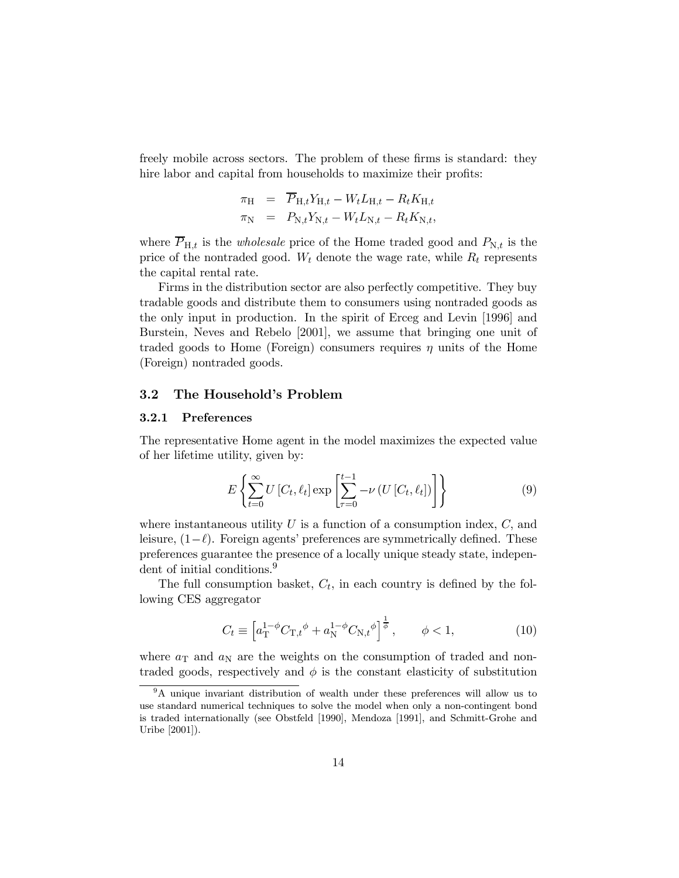freely mobile across sectors. The problem of these firms is standard: they hire labor and capital from households to maximize their profits:

$$
\begin{array}{rcl}\n\pi_{\rm H} & = & \overline{P}_{\rm H,t} Y_{\rm H,t} - W_t L_{\rm H,t} - R_t K_{\rm H,t} \\
\pi_{\rm N} & = & P_{\rm N,t} Y_{\rm N,t} - W_t L_{\rm N,t} - R_t K_{\rm N,t},\n\end{array}
$$

where  $\overline{P}_{H,t}$  is the *wholesale* price of the Home traded good and  $P_{N,t}$  is the price of the nontraded good.  $W_t$  denote the wage rate, while  $R_t$  represents the capital rental rate.

Firms in the distribution sector are also perfectly competitive. They buy tradable goods and distribute them to consumers using nontraded goods as the only input in production. In the spirit of Erceg and Levin [1996] and Burstein, Neves and Rebelo [2001], we assume that bringing one unit of traded goods to Home (Foreign) consumers requires  $\eta$  units of the Home (Foreign) nontraded goods.

# 3.2 The Household's Problem

# 3.2.1 Preferences

The representative Home agent in the model maximizes the expected value of her lifetime utility, given by:

$$
E\left\{\sum_{t=0}^{\infty} U\left[C_t, \ell_t\right] \exp\left[\sum_{\tau=0}^{t-1} -\nu\left(U\left[C_t, \ell_t\right]\right)\right] \right\} \tag{9}
$$

where instantaneous utility  $U$  is a function of a consumption index,  $C$ , and leisure,  $(1-\ell)$ . Foreign agents' preferences are symmetrically defined. These preferences guarantee the presence of a locally unique steady state, independent of initial conditions.<sup>9</sup>

The full consumption basket,  $C_t$ , in each country is defined by the following CES aggregator

$$
C_t \equiv \left[ a_{\rm T}^{1-\phi} C_{\rm T,t}{}^{\phi} + a_{\rm N}^{1-\phi} C_{\rm N,t}{}^{\phi} \right]^{\frac{1}{\phi}}, \qquad \phi < 1, \tag{10}
$$

where  $a_T$  and  $a_N$  are the weights on the consumption of traded and nontraded goods, respectively and  $\phi$  is the constant elasticity of substitution

<sup>&</sup>lt;sup>9</sup>A unique invariant distribution of wealth under these preferences will allow us to use standard numerical techniques to solve the model when only a non-contingent bond is traded internationally (see Obstfeld [1990], Mendoza [1991], and Schmitt-Grohe and Uribe [2001]).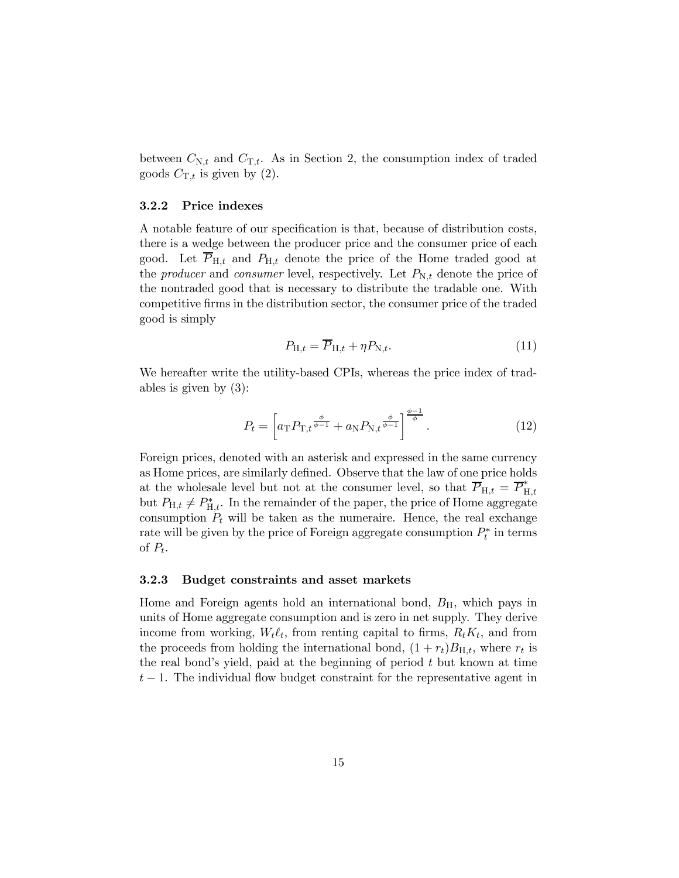between  $C_{N,t}$  and  $C_{T,t}$ . As in Section 2, the consumption index of traded goods  $C_{\text{T},t}$  is given by (2).

### 3.2.2 Price indexes

A notable feature of our specification is that, because of distribution costs, there is a wedge between the producer price and the consumer price of each good. Let  $\overline{P}_{H,t}$  and  $P_{H,t}$  denote the price of the Home traded good at the *producer* and *consumer* level, respectively. Let  $P_{N,t}$  denote the price of the nontraded good that is necessary to distribute the tradable one. With competitive firms in the distribution sector, the consumer price of the traded good is simply

$$
P_{\mathrm{H},t} = \overline{P}_{\mathrm{H},t} + \eta P_{\mathrm{N},t}.\tag{11}
$$

We hereafter write the utility-based CPIs, whereas the price index of tradables is given by (3):

$$
P_t = \left[ a_{\rm T} P_{\rm T,t} \frac{\phi}{\phi - 1} + a_{\rm N} P_{\rm N,t} \frac{\phi}{\phi - 1} \right] \frac{\phi - 1}{\phi}.
$$
 (12)

Foreign prices, denoted with an asterisk and expressed in the same currency as Home prices, are similarly defined. Observe that the law of one price holds at the wholesale level but not at the consumer level, so that  $\overline{P}_{H,t} = \overline{P}_{H,t}^*$ but  $P_{\mathrm{H},t} \neq P_{\mathrm{H},t}^{*}$ . In the remainder of the paper, the price of Home aggregate consumption  $P_t$  will be taken as the numeraire. Hence, the real exchange rate will be given by the price of Foreign aggregate consumption  $P_t^*$  in terms of  $P_t$ .

# 3.2.3 Budget constraints and asset markets

Home and Foreign agents hold an international bond,  $B<sub>H</sub>$ , which pays in units of Home aggregate consumption and is zero in net supply. They derive income from working,  $W_t \ell_t$ , from renting capital to firms,  $R_t K_t$ , and from the proceeds from holding the international bond,  $(1 + r_t)B_{H,t}$ , where  $r_t$  is the real bond's yield, paid at the beginning of period  $t$  but known at time  $t-1$ . The individual flow budget constraint for the representative agent in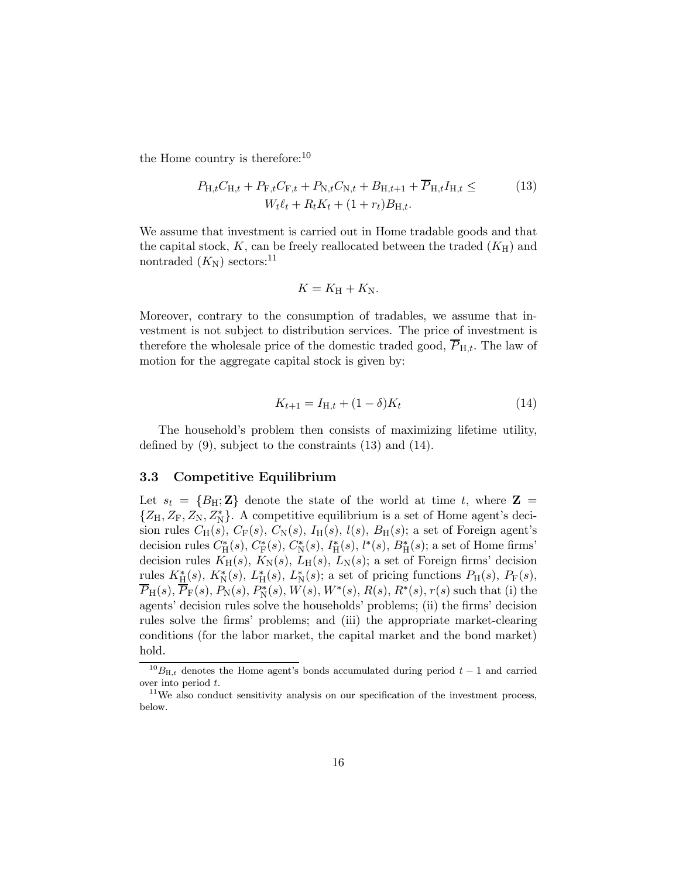the Home country is therefore:<sup>10</sup>

$$
P_{\mathrm{H},t}C_{\mathrm{H},t} + P_{\mathrm{F},t}C_{\mathrm{F},t} + P_{\mathrm{N},t}C_{\mathrm{N},t} + B_{\mathrm{H},t+1} + \overline{P}_{\mathrm{H},t}I_{\mathrm{H},t} \leq (13)
$$
  

$$
W_{t}\ell_{t} + R_{t}K_{t} + (1+r_{t})B_{\mathrm{H},t}.
$$

We assume that investment is carried out in Home tradable goods and that the capital stock,  $K$ , can be freely reallocated between the traded  $(K_H)$  and nontraded  $(K_{\rm N})$  sectors:<sup>11</sup>

$$
K=K_{\rm H}+K_{\rm N}.
$$

Moreover, contrary to the consumption of tradables, we assume that investment is not subject to distribution services. The price of investment is therefore the wholesale price of the domestic traded good,  $\overline{P}_{H,t}$ . The law of motion for the aggregate capital stock is given by:

$$
K_{t+1} = I_{H,t} + (1 - \delta)K_t
$$
\n(14)

The household's problem then consists of maximizing lifetime utility, defined by (9), subject to the constraints (13) and (14).

# 3.3 Competitive Equilibrium

Let  $s_t = \{B_H; \mathbf{Z}\}\$  denote the state of the world at time t, where  $\mathbf{Z} =$  $Z_{\rm H}$ ,  $Z_{\rm F}$ ,  $Z_{\rm N}$ ,  $Z_{\rm N}^*$ . A competitive equilibrium is a set of Home agent's decision rules  $C_H(s)$ ,  $C_F(s)$ ,  $C_N(s)$ ,  $I_H(s)$ ,  $l(s)$ ,  $B_H(s)$ ; a set of Foreign agent's decision rules  $C_{\rm H}^{*}(s)$ ,  $C_{\rm F}^{*}(s)$ ,  $C_{\rm N}^{*}(s)$ ,  $I_{\rm H}^{*}(s)$ ,  $l^{*}(s)$ ,  $B_{\rm H}^{*}(s)$ ; a set of Home firms' decision rules  $K_H(s)$ ,  $K_N(s)$ ,  $L_H(s)$ ,  $L_N(s)$ ; a set of Foreign firms' decision rules  $K_{\rm H}^*(s)$ ,  $K_{\rm N}^*(s)$ ,  $L_{\rm H}^*(s)$ ,  $L_{\rm N}^*(s)$ ; a set of pricing functions  $P_{\rm H}(s)$ ,  $P_{\rm F}(s)$ ,  $\overline{P}_{\rm H}(s), \overline{P}_{\rm F}(s), P_{\rm N}(s), P_{\rm N}^{*}(s), W(s), W^{*}(s), R(s), R^{*}(s), r(s)$  such that (i) the agents' decision rules solve the households' problems; (ii) the firms' decision rules solve the firms' problems; and (iii) the appropriate market-clearing conditions (for the labor market, the capital market and the bond market) hold.

 $^{10}B_{\text{H},t}$  denotes the Home agent's bonds accumulated during period  $t-1$  and carried over into period  $t$ .

 $11$ We also conduct sensitivity analysis on our specification of the investment process, below.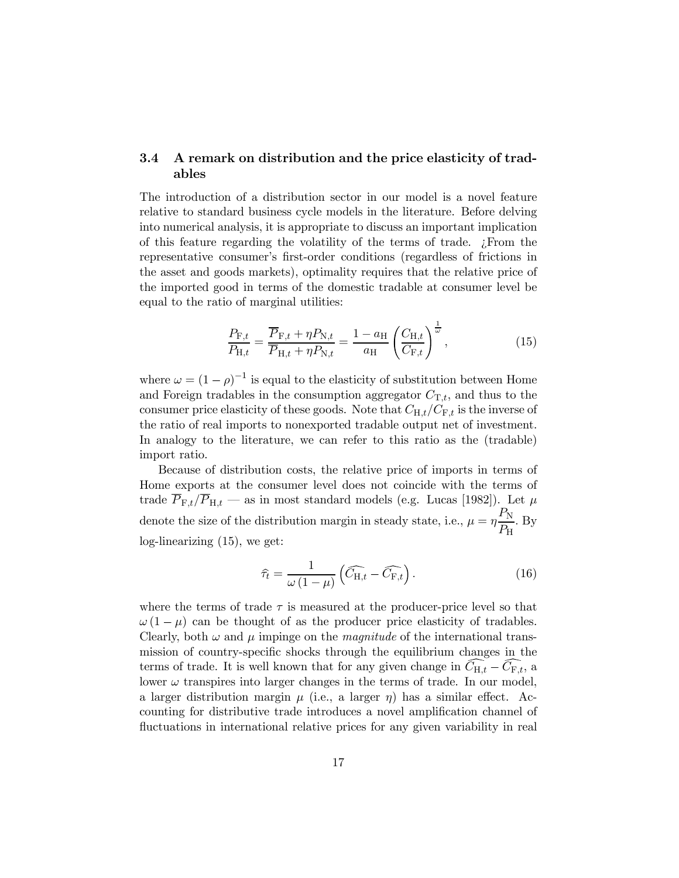# 3.4 A remark on distribution and the price elasticity of tradables

The introduction of a distribution sector in our model is a novel feature relative to standard business cycle models in the literature. Before delving into numerical analysis, it is appropriate to discuss an important implication of this feature regarding the volatility of the terms of trade.  $\chi$ From the representative consumerís first-order conditions (regardless of frictions in the asset and goods markets), optimality requires that the relative price of the imported good in terms of the domestic tradable at consumer level be equal to the ratio of marginal utilities:

$$
\frac{P_{\mathrm{F},t}}{P_{\mathrm{H},t}} = \frac{\overline{P}_{\mathrm{F},t} + \eta P_{\mathrm{N},t}}{\overline{P}_{\mathrm{H},t} + \eta P_{\mathrm{N},t}} = \frac{1 - a_{\mathrm{H}}}{a_{\mathrm{H}}} \left(\frac{C_{\mathrm{H},t}}{C_{\mathrm{F},t}}\right)^{\frac{1}{\omega}},\tag{15}
$$

where  $\omega = (1 - \rho)^{-1}$  is equal to the elasticity of substitution between Home and Foreign tradables in the consumption aggregator  $C_{\text{T},t}$ , and thus to the consumer price elasticity of these goods. Note that  $C_{H,t}/C_{F,t}$  is the inverse of the ratio of real imports to nonexported tradable output net of investment. In analogy to the literature, we can refer to this ratio as the (tradable) import ratio.

Because of distribution costs, the relative price of imports in terms of Home exports at the consumer level does not coincide with the terms of trade  $\overline{P}_{F,t}/\overline{P}_{H,t}$  – as in most standard models (e.g. Lucas [1982]). Let  $\mu$ denote the size of the distribution margin in steady state, i.e.,  $\mu = \eta \frac{P_N}{P_N}$  $\frac{1}{P_{\rm H}}$ . By log-linearizing (15), we get:

$$
\widehat{\tau}_t = \frac{1}{\omega \left(1 - \mu\right)} \left( \widehat{C}_{\mathrm{H},t} - \widehat{C}_{\mathrm{F},t} \right). \tag{16}
$$

where the terms of trade  $\tau$  is measured at the producer-price level so that  $\omega(1 - \mu)$  can be thought of as the producer price elasticity of tradables. Clearly, both  $\omega$  and  $\mu$  impinge on the *magnitude* of the international transmission of country-specific shocks through the equilibrium changes in the terms of trade. It is well known that for any given change in  $C_{H,t} - C_{F,t}$ , a lower  $\omega$  transpires into larger changes in the terms of trade. In our model, a larger distribution margin  $\mu$  (i.e., a larger  $\eta$ ) has a similar effect. Accounting for distributive trade introduces a novel amplification channel of fluctuations in international relative prices for any given variability in real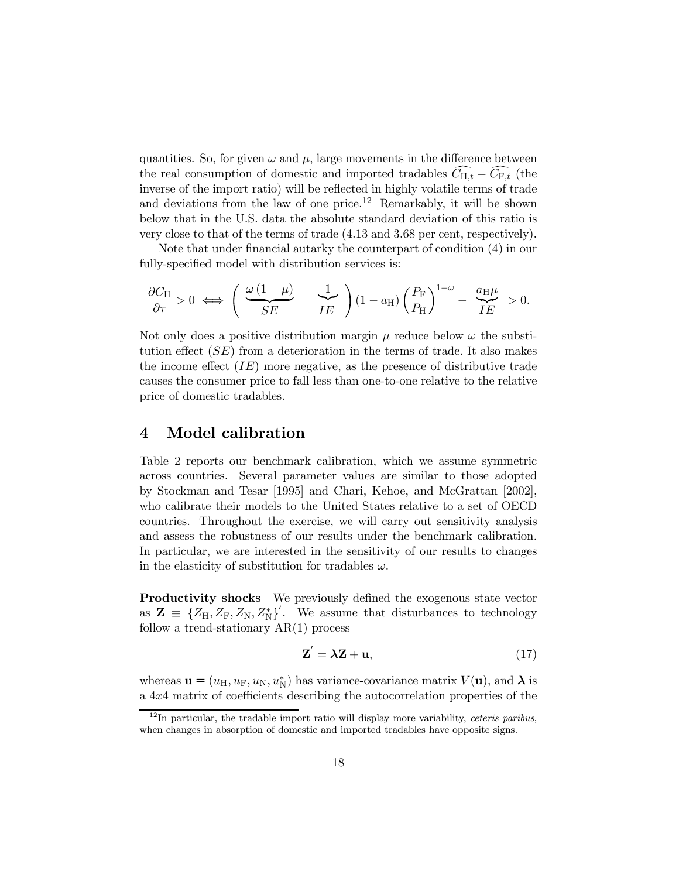quantities. So, for given  $\omega$  and  $\mu$ , large movements in the difference between the real consumption of domestic and imported tradables  $\tilde{C}_{H,t} - \tilde{C}_{F,t}$  (the inverse of the import ratio) will be reflected in highly volatile terms of trade and deviations from the law of one price.<sup>12</sup> Remarkably, it will be shown below that in the U.S. data the absolute standard deviation of this ratio is very close to that of the terms of trade (4.13 and 3.68 per cent, respectively).

Note that under financial autarky the counterpart of condition (4) in our fully-specified model with distribution services is:

$$
\frac{\partial C_{\rm H}}{\partial \tau} > 0 \iff \left( \frac{\omega (1 - \mu)}{SE} - \frac{1}{IE} \right) (1 - a_{\rm H}) \left( \frac{P_{\rm F}}{P_{\rm H}} \right)^{1 - \omega} - \frac{a_{\rm H} \mu}{IE} > 0.
$$

Not only does a positive distribution margin  $\mu$  reduce below  $\omega$  the substitution effect  $(SE)$  from a deterioration in the terms of trade. It also makes the income effect  $(IE)$  more negative, as the presence of distributive trade causes the consumer price to fall less than one-to-one relative to the relative price of domestic tradables.

#### Model calibration  $\boldsymbol{4}$

Table 2 reports our benchmark calibration, which we assume symmetric across countries. Several parameter values are similar to those adopted by Stockman and Tesar [1995] and Chari, Kehoe, and McGrattan [2002], who calibrate their models to the United States relative to a set of OECD countries. Throughout the exercise, we will carry out sensitivity analysis and assess the robustness of our results under the benchmark calibration. In particular, we are interested in the sensitivity of our results to changes in the elasticity of substitution for tradables  $\omega$ .

Productivity shocks We previously defined the exogenous state vector as  $\mathbf{Z} \equiv \{Z_H, Z_F, Z_N, Z_N^*\}^{\prime}$ . We assume that disturbances to technology follow a trend-stationary AR(1) process

$$
\mathbf{Z}' = \lambda \mathbf{Z} + \mathbf{u},\tag{17}
$$

whereas  $\mathbf{u} \equiv (u_{\rm H}, u_{\rm F}, u_{\rm N}, u_{\rm N}^*)$  has variance-covariance matrix  $V(\mathbf{u})$ , and  $\boldsymbol{\lambda}$  is a 4x4 matrix of coefficients describing the autocorrelation properties of the

 $12$ In particular, the tradable import ratio will display more variability, *ceteris paribus*, when changes in absorption of domestic and imported tradables have opposite signs.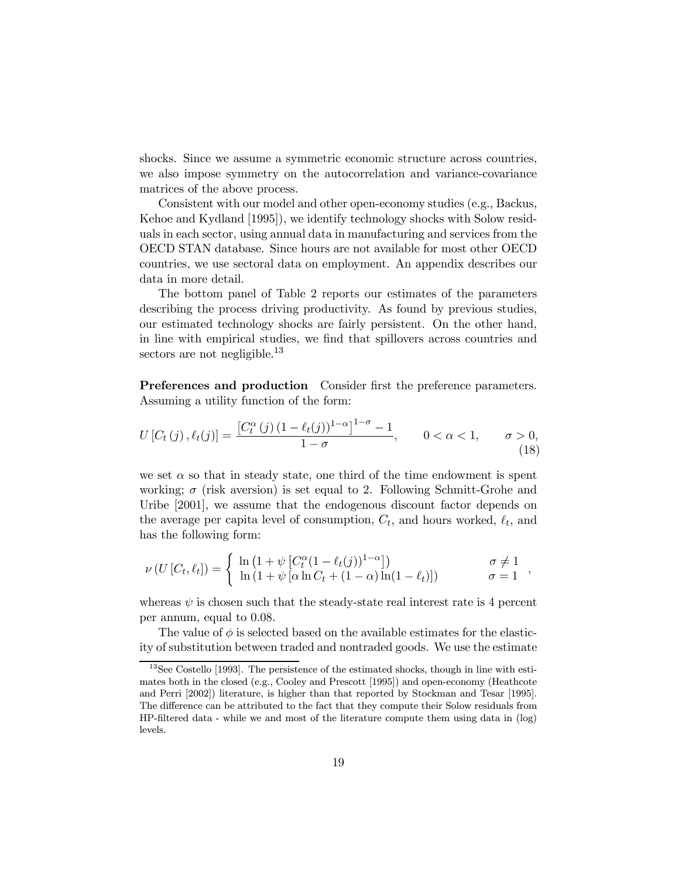shocks. Since we assume a symmetric economic structure across countries, we also impose symmetry on the autocorrelation and variance-covariance matrices of the above process.

Consistent with our model and other open-economy studies (e.g., Backus, Kehoe and Kydland [1995]), we identify technology shocks with Solow residuals in each sector, using annual data in manufacturing and services from the OECD STAN database. Since hours are not available for most other OECD countries, we use sectoral data on employment. An appendix describes our data in more detail.

The bottom panel of Table 2 reports our estimates of the parameters describing the process driving productivity. As found by previous studies, our estimated technology shocks are fairly persistent. On the other hand, in line with empirical studies, we find that spillovers across countries and sectors are not negligible.<sup>13</sup>

Preferences and production Consider first the preference parameters. Assuming a utility function of the form:

$$
U[C_t(j), \ell_t(j)] = \frac{[C_t^{\alpha}(j) (1 - \ell_t(j))^{1-\alpha}]^{1-\sigma} - 1}{1 - \sigma}, \qquad 0 < \alpha < 1, \qquad \sigma > 0,
$$
\n(18)

we set  $\alpha$  so that in steady state, one third of the time endowment is spent working;  $\sigma$  (risk aversion) is set equal to 2. Following Schmitt-Grohe and Uribe [2001], we assume that the endogenous discount factor depends on the average per capita level of consumption,  $C_t$ , and hours worked,  $\ell_t$ , and has the following form:

$$
\nu\left(U\left[C_t,\ell_t\right]\right) = \begin{cases} \ln\left(1+\psi\left[C_t^{\alpha}(1-\ell_t(j))^{1-\alpha}\right]\right) & \sigma \neq 1 \\ \ln\left(1+\psi\left[\alpha\ln C_t + (1-\alpha)\ln(1-\ell_t)\right]\right) & \sigma = 1 \end{cases},
$$

whereas  $\psi$  is chosen such that the steady-state real interest rate is 4 percent per annum, equal to 0.08.

The value of  $\phi$  is selected based on the available estimates for the elasticity of substitution between traded and nontraded goods. We use the estimate

 $13$ See Costello [1993]. The persistence of the estimated shocks, though in line with estimates both in the closed (e.g., Cooley and Prescott [1995]) and open-economy (Heathcote and Perri [2002]) literature, is higher than that reported by Stockman and Tesar [1995]. The difference can be attributed to the fact that they compute their Solow residuals from HP-filtered data - while we and most of the literature compute them using data in (log) levels.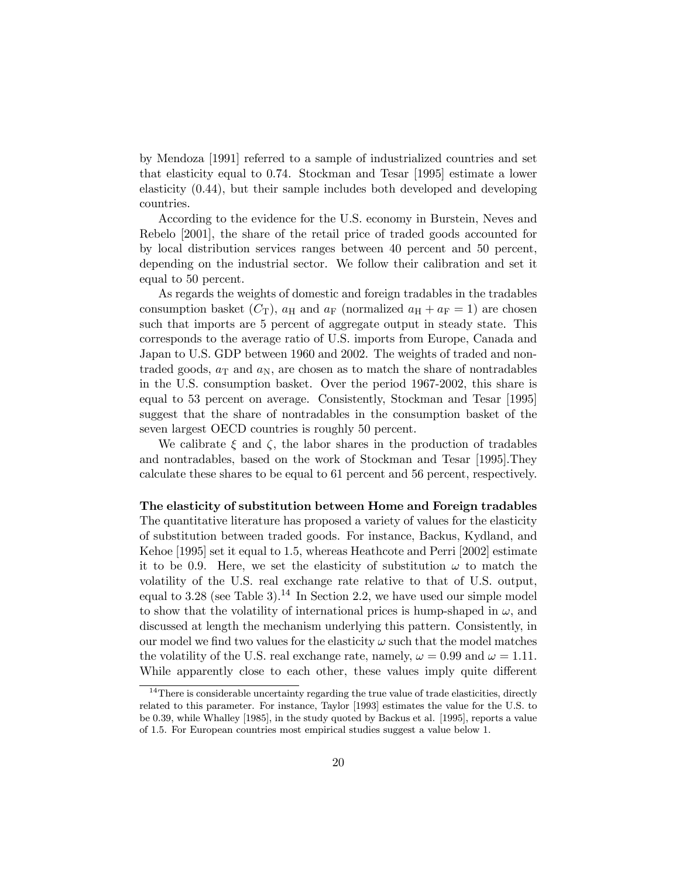by Mendoza [1991] referred to a sample of industrialized countries and set that elasticity equal to 0.74. Stockman and Tesar [1995] estimate a lower elasticity (0.44), but their sample includes both developed and developing countries.

According to the evidence for the U.S. economy in Burstein, Neves and Rebelo [2001], the share of the retail price of traded goods accounted for by local distribution services ranges between 40 percent and 50 percent, depending on the industrial sector. We follow their calibration and set it equal to 50 percent.

As regards the weights of domestic and foreign tradables in the tradables consumption basket  $(C_T)$ ,  $a_H$  and  $a_F$  (normalized  $a_H + a_F = 1$ ) are chosen such that imports are 5 percent of aggregate output in steady state. This corresponds to the average ratio of U.S. imports from Europe, Canada and Japan to U.S. GDP between 1960 and 2002. The weights of traded and nontraded goods,  $a_T$  and  $a_N$ , are chosen as to match the share of nontradables in the U.S. consumption basket. Over the period 1967-2002, this share is equal to 53 percent on average. Consistently, Stockman and Tesar [1995] suggest that the share of nontradables in the consumption basket of the seven largest OECD countries is roughly 50 percent.

We calibrate  $\xi$  and  $\zeta$ , the labor shares in the production of tradables and nontradables, based on the work of Stockman and Tesar [1995].They calculate these shares to be equal to 61 percent and 56 percent, respectively.

### The elasticity of substitution between Home and Foreign tradables

The quantitative literature has proposed a variety of values for the elasticity of substitution between traded goods. For instance, Backus, Kydland, and Kehoe [1995] set it equal to 1.5, whereas Heathcote and Perri [2002] estimate it to be 0.9. Here, we set the elasticity of substitution  $\omega$  to match the volatility of the U.S. real exchange rate relative to that of U.S. output, equal to 3.28 (see Table 3).<sup>14</sup> In Section 2.2, we have used our simple model to show that the volatility of international prices is hump-shaped in  $\omega$ , and discussed at length the mechanism underlying this pattern. Consistently, in our model we find two values for the elasticity  $\omega$  such that the model matches the volatility of the U.S. real exchange rate, namely,  $\omega = 0.99$  and  $\omega = 1.11$ . While apparently close to each other, these values imply quite different

 $14$ There is considerable uncertainty regarding the true value of trade elasticities, directly related to this parameter. For instance, Taylor [1993] estimates the value for the U.S. to be 0.39, while Whalley [1985], in the study quoted by Backus et al. [1995], reports a value of 1.5. For European countries most empirical studies suggest a value below 1.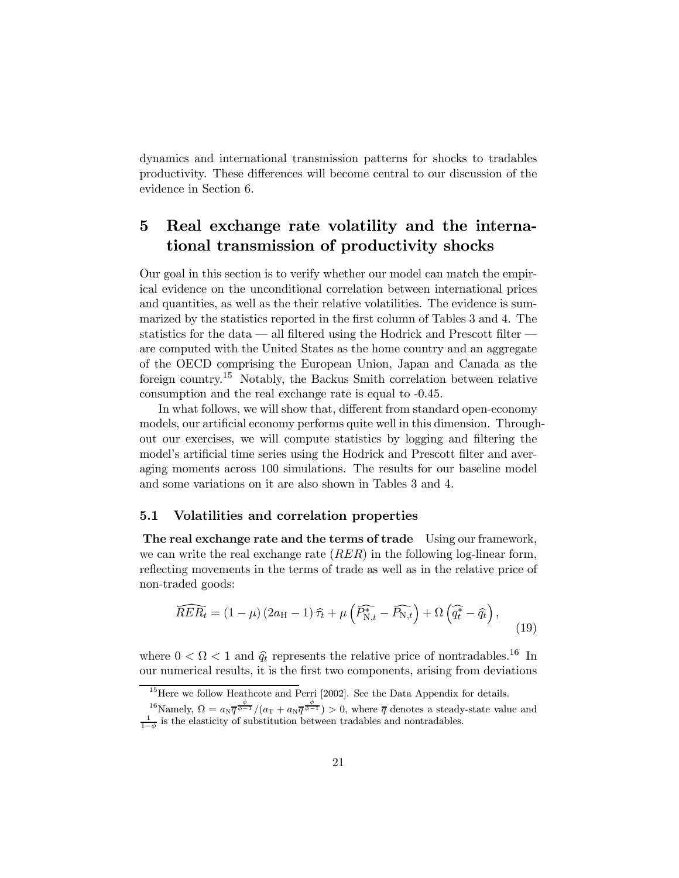dynamics and international transmission patterns for shocks to tradables productivity. These differences will become central to our discussion of the evidence in Section 6.

## Real exchange rate volatility and the interna- $\overline{5}$ tional transmission of productivity shocks

Our goal in this section is to verify whether our model can match the empirical evidence on the unconditional correlation between international prices and quantities, as well as the their relative volatilities. The evidence is summarized by the statistics reported in the first column of Tables 3 and 4. The statistics for the data  $\sim$  all filtered using the Hodrick and Prescott filter  $\sim$ are computed with the United States as the home country and an aggregate of the OECD comprising the European Union, Japan and Canada as the foreign country.<sup>15</sup> Notably, the Backus Smith correlation between relative consumption and the real exchange rate is equal to -0.45.

In what follows, we will show that, different from standard open-economy models, our artificial economy performs quite well in this dimension. Throughout our exercises, we will compute statistics by logging and filtering the model's artificial time series using the Hodrick and Prescott filter and averaging moments across 100 simulations. The results for our baseline model and some variations on it are also shown in Tables 3 and 4.

# 5.1 Volatilities and correlation properties

The real exchange rate and the terms of trade Using our framework, we can write the real exchange rate  $(RER)$  in the following log-linear form, reflecting movements in the terms of trade as well as in the relative price of non-traded goods:

$$
\widehat{RER}_t = (1 - \mu) (2a_H - 1) \widehat{\tau}_t + \mu \left( \widehat{P_{\mathrm{N},t}^*} - \widehat{P_{\mathrm{N},t}} \right) + \Omega \left( \widehat{q_t^*} - \widehat{q_t} \right),\tag{19}
$$

where  $0 < \Omega < 1$  and  $\hat{q}_t$  represents the relative price of nontradables.<sup>16</sup> In our numerical results, it is the first two components, arising from deviations

 $15$  Here we follow Heathcote and Perri [2002]. See the Data Appendix for details.

<sup>&</sup>lt;sup>16</sup>Namely,  $\Omega = a_N \overline{q^{\phi-1}}/(a_T + a_N \overline{q^{\phi-1}}) > 0$ , where  $\overline{q}$  denotes a steady-state value and  $\frac{1}{1-\phi}$  is the elasticity of substitution between tradables and nontradables.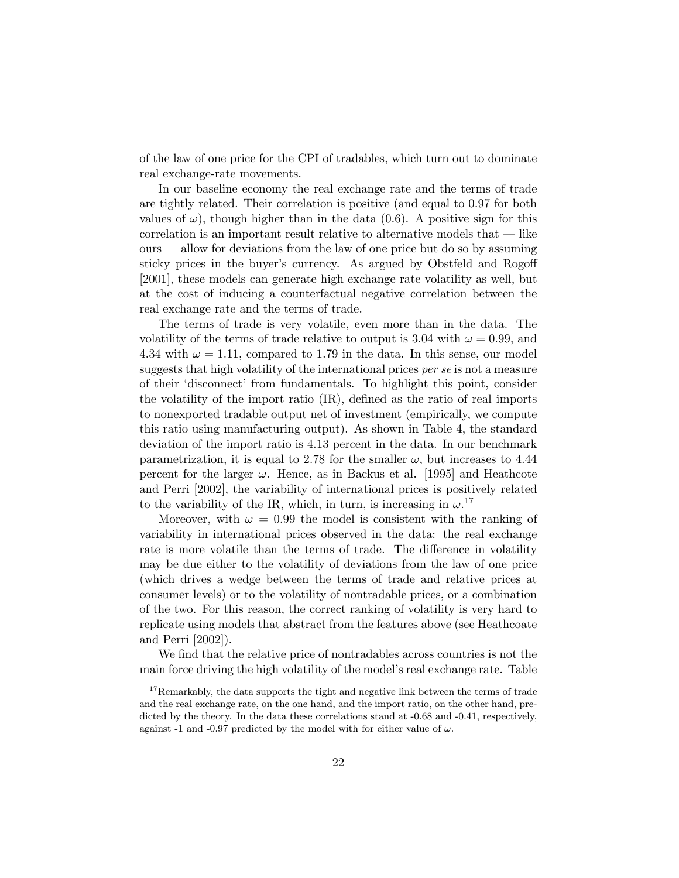of the law of one price for the CPI of tradables, which turn out to dominate real exchange-rate movements.

In our baseline economy the real exchange rate and the terms of trade are tightly related. Their correlation is positive (and equal to 0.97 for both values of  $\omega$ ), though higher than in the data (0.6). A positive sign for this correlation is an important result relative to alternative models that  $\frac{d}{dt}$  like  $ours$   $\sim$  allow for deviations from the law of one price but do so by assuming sticky prices in the buyer's currency. As argued by Obstfeld and Rogoff [2001], these models can generate high exchange rate volatility as well, but at the cost of inducing a counterfactual negative correlation between the real exchange rate and the terms of trade.

The terms of trade is very volatile, even more than in the data. The volatility of the terms of trade relative to output is 3.04 with  $\omega = 0.99$ , and 4.34 with  $\omega = 1.11$ , compared to 1.79 in the data. In this sense, our model suggests that high volatility of the international prices per se is not a measure of their 'disconnect' from fundamentals. To highlight this point, consider the volatility of the import ratio (IR), defined as the ratio of real imports to nonexported tradable output net of investment (empirically, we compute this ratio using manufacturing output). As shown in Table 4, the standard deviation of the import ratio is 4.13 percent in the data. In our benchmark parametrization, it is equal to 2.78 for the smaller  $\omega$ , but increases to 4.44 percent for the larger  $\omega$ . Hence, as in Backus et al. [1995] and Heathcote and Perri [2002], the variability of international prices is positively related to the variability of the IR, which, in turn, is increasing in  $\omega$ .<sup>17</sup>

Moreover, with  $\omega = 0.99$  the model is consistent with the ranking of variability in international prices observed in the data: the real exchange rate is more volatile than the terms of trade. The difference in volatility may be due either to the volatility of deviations from the law of one price (which drives a wedge between the terms of trade and relative prices at consumer levels) or to the volatility of nontradable prices, or a combination of the two. For this reason, the correct ranking of volatility is very hard to replicate using models that abstract from the features above (see Heathcoate and Perri [2002]).

We find that the relative price of nontradables across countries is not the main force driving the high volatility of the modelís real exchange rate. Table

 $17$ Remarkably, the data supports the tight and negative link between the terms of trade and the real exchange rate, on the one hand, and the import ratio, on the other hand, predicted by the theory. In the data these correlations stand at  $-0.68$  and  $-0.41$ , respectively, against -1 and -0.97 predicted by the model with for either value of  $\omega$ .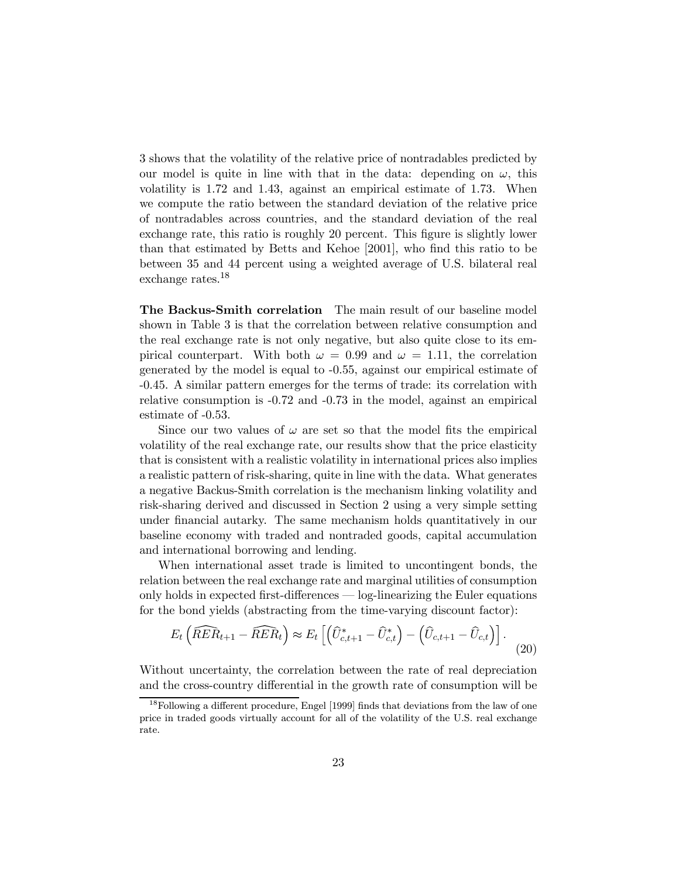3 shows that the volatility of the relative price of nontradables predicted by our model is quite in line with that in the data: depending on  $\omega$ , this volatility is 1.72 and 1.43, against an empirical estimate of 1.73. When we compute the ratio between the standard deviation of the relative price of nontradables across countries, and the standard deviation of the real exchange rate, this ratio is roughly 20 percent. This figure is slightly lower than that estimated by Betts and Kehoe [2001], who find this ratio to be between 35 and 44 percent using a weighted average of U.S. bilateral real exchange rates.<sup>18</sup>

The Backus-Smith correlation The main result of our baseline model shown in Table 3 is that the correlation between relative consumption and the real exchange rate is not only negative, but also quite close to its empirical counterpart. With both  $\omega = 0.99$  and  $\omega = 1.11$ , the correlation generated by the model is equal to -0.55, against our empirical estimate of -0.45. A similar pattern emerges for the terms of trade: its correlation with relative consumption is -0.72 and -0.73 in the model, against an empirical estimate of -0.53.

Since our two values of  $\omega$  are set so that the model fits the empirical volatility of the real exchange rate, our results show that the price elasticity that is consistent with a realistic volatility in international prices also implies a realistic pattern of risk-sharing, quite in line with the data. What generates a negative Backus-Smith correlation is the mechanism linking volatility and risk-sharing derived and discussed in Section 2 using a very simple setting under financial autarky. The same mechanism holds quantitatively in our baseline economy with traded and nontraded goods, capital accumulation and international borrowing and lending.

When international asset trade is limited to uncontingent bonds, the relation between the real exchange rate and marginal utilities of consumption only holds in expected first-differences  $\sim$  log-linearizing the Euler equations for the bond yields (abstracting from the time-varying discount factor):

$$
E_t\left(\widehat{RER}_{t+1} - \widehat{RER}_t\right) \approx E_t\left[\left(\widehat{U}_{c,t+1}^* - \widehat{U}_{c,t}^*\right) - \left(\widehat{U}_{c,t+1} - \widehat{U}_{c,t}\right)\right].
$$
\n(20)

Without uncertainty, the correlation between the rate of real depreciation and the cross-country differential in the growth rate of consumption will be

<sup>&</sup>lt;sup>18</sup>Following a different procedure, Engel [1999] finds that deviations from the law of one price in traded goods virtually account for all of the volatility of the U.S. real exchange rate.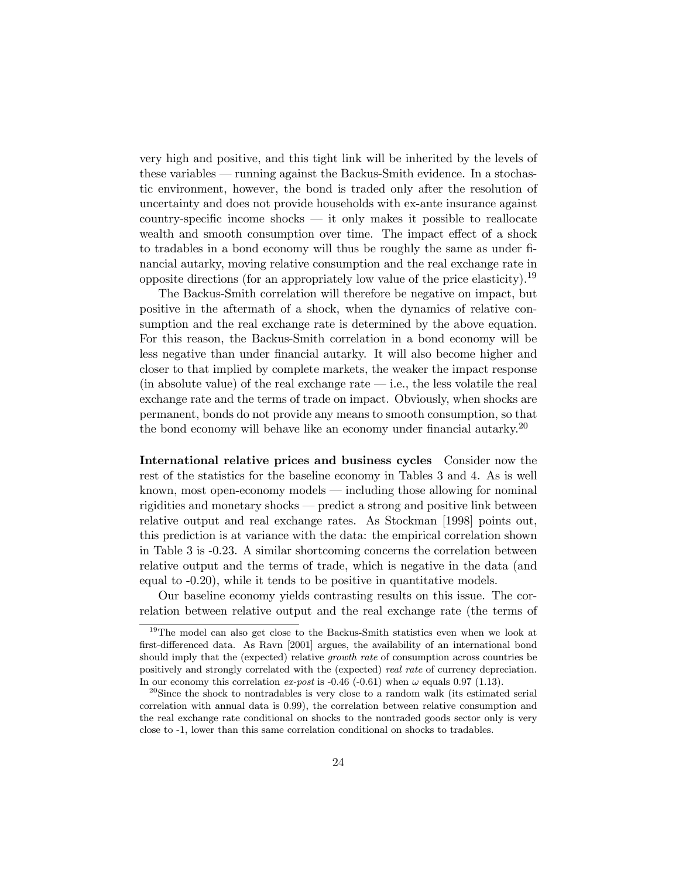very high and positive, and this tight link will be inherited by the levels of these variables  $-$  running against the Backus-Smith evidence. In a stochastic environment, however, the bond is traded only after the resolution of uncertainty and does not provide households with ex-ante insurance against country-specific income shocks  $\overline{\phantom{a}}$  it only makes it possible to reallocate wealth and smooth consumption over time. The impact effect of a shock to tradables in a bond economy will thus be roughly the same as under financial autarky, moving relative consumption and the real exchange rate in opposite directions (for an appropriately low value of the price elasticity).<sup>19</sup>

The Backus-Smith correlation will therefore be negative on impact, but positive in the aftermath of a shock, when the dynamics of relative consumption and the real exchange rate is determined by the above equation. For this reason, the Backus-Smith correlation in a bond economy will be less negative than under financial autarky. It will also become higher and closer to that implied by complete markets, the weaker the impact response (in absolute value) of the real exchange rate  $\frac{d}{dt}$  i.e., the less volatile the real exchange rate and the terms of trade on impact. Obviously, when shocks are permanent, bonds do not provide any means to smooth consumption, so that the bond economy will behave like an economy under financial autarky.<sup>20</sup>

International relative prices and business cycles Consider now the rest of the statistics for the baseline economy in Tables 3 and 4. As is well known, most open-economy models  $\frac{m}{n}$  including those allowing for nominal rigidities and monetary shocks  $-$  predict a strong and positive link between relative output and real exchange rates. As Stockman [1998] points out, this prediction is at variance with the data: the empirical correlation shown in Table 3 is -0.23. A similar shortcoming concerns the correlation between relative output and the terms of trade, which is negative in the data (and equal to -0.20), while it tends to be positive in quantitative models.

Our baseline economy yields contrasting results on this issue. The correlation between relative output and the real exchange rate (the terms of

<sup>&</sup>lt;sup>19</sup>The model can also get close to the Backus-Smith statistics even when we look at first-differenced data. As Ravn [2001] argues, the availability of an international bond should imply that the (expected) relative growth rate of consumption across countries be positively and strongly correlated with the (expected) real rate of currency depreciation. In our economy this correlation ex-post is -0.46 (-0.61) when  $\omega$  equals 0.97 (1.13).

 $^{20}$ Since the shock to nontradables is very close to a random walk (its estimated serial correlation with annual data is 0.99), the correlation between relative consumption and the real exchange rate conditional on shocks to the nontraded goods sector only is very close to -1, lower than this same correlation conditional on shocks to tradables.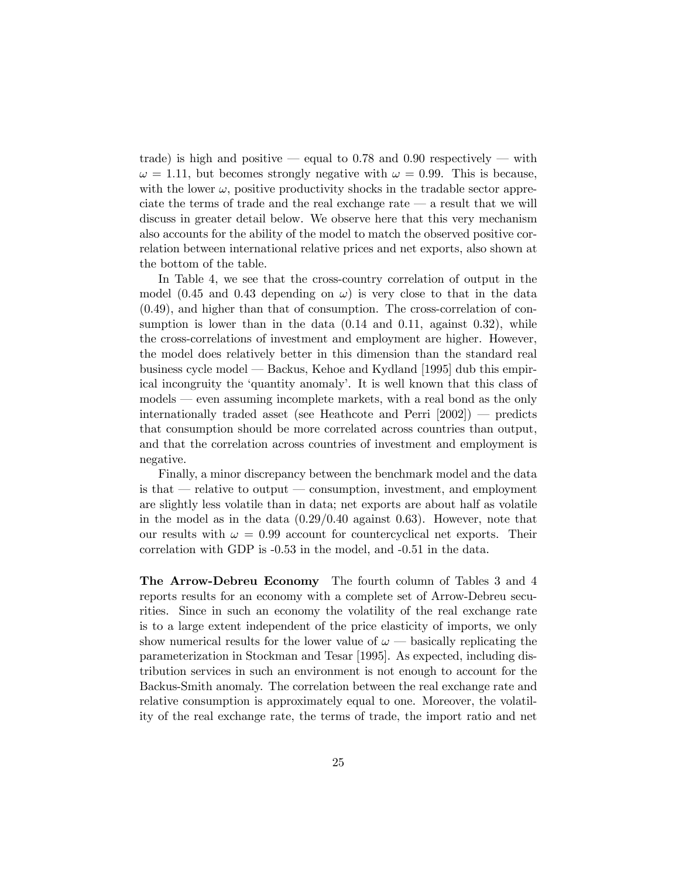trade) is high and positive — equal to 0.78 and 0.90 respectively — with  $\omega = 1.11$ , but becomes strongly negative with  $\omega = 0.99$ . This is because, with the lower  $\omega$ , positive productivity shocks in the tradable sector appreciate the terms of trade and the real exchange rate  $\overline{a}$  a result that we will discuss in greater detail below. We observe here that this very mechanism also accounts for the ability of the model to match the observed positive correlation between international relative prices and net exports, also shown at the bottom of the table.

In Table 4, we see that the cross-country correlation of output in the model (0.45 and 0.43 depending on  $\omega$ ) is very close to that in the data (0.49), and higher than that of consumption. The cross-correlation of consumption is lower than in the data  $(0.14 \text{ and } 0.11, \text{ against } 0.32)$ , while the cross-correlations of investment and employment are higher. However, the model does relatively better in this dimension than the standard real business cycle model — Backus, Kehoe and Kydland [1995] dub this empirical incongruity the 'quantity anomaly'. It is well known that this class of models — even assuming incomplete markets, with a real bond as the only internationally traded asset (see Heathcote and Perri  $[2002]$ ) — predicts that consumption should be more correlated across countries than output, and that the correlation across countries of investment and employment is negative.

Finally, a minor discrepancy between the benchmark model and the data is that  $\overline{\phantom{a}}$  relative to output  $\overline{\phantom{a}}$  consumption, investment, and employment are slightly less volatile than in data; net exports are about half as volatile in the model as in the data  $(0.29/0.40 \text{ against } 0.63)$ . However, note that our results with  $\omega = 0.99$  account for countercyclical net exports. Their correlation with GDP is -0.53 in the model, and -0.51 in the data.

The Arrow-Debreu Economy The fourth column of Tables 3 and 4 reports results for an economy with a complete set of Arrow-Debreu securities. Since in such an economy the volatility of the real exchange rate is to a large extent independent of the price elasticity of imports, we only show numerical results for the lower value of  $\omega$  — basically replicating the parameterization in Stockman and Tesar [1995]. As expected, including distribution services in such an environment is not enough to account for the Backus-Smith anomaly. The correlation between the real exchange rate and relative consumption is approximately equal to one. Moreover, the volatility of the real exchange rate, the terms of trade, the import ratio and net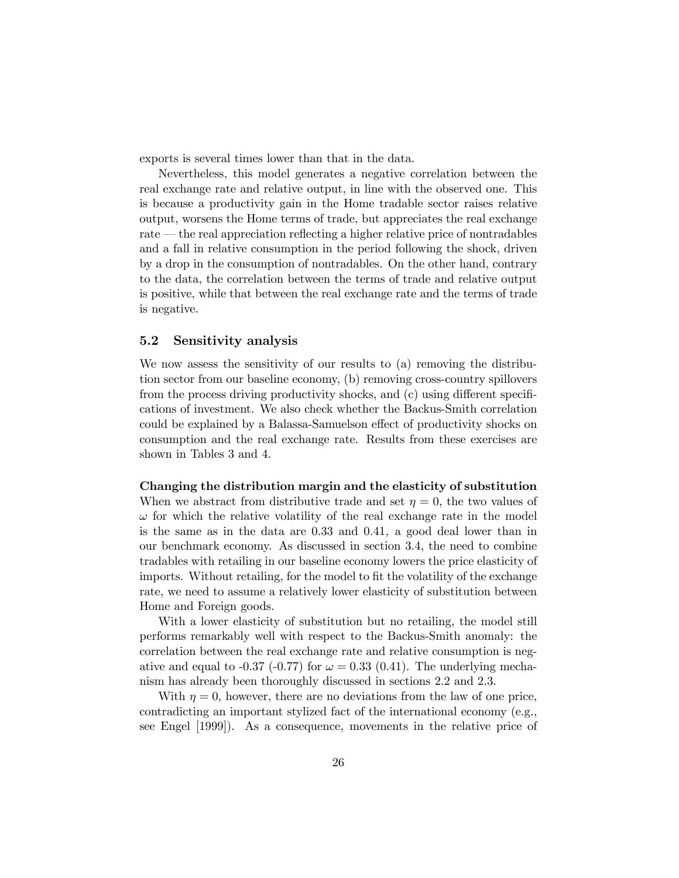exports is several times lower than that in the data.

Nevertheless, this model generates a negative correlation between the real exchange rate and relative output, in line with the observed one. This is because a productivity gain in the Home tradable sector raises relative output, worsens the Home terms of trade, but appreciates the real exchange rate – the real appreciation reflecting a higher relative price of nontradables and a fall in relative consumption in the period following the shock, driven by a drop in the consumption of nontradables. On the other hand, contrary to the data, the correlation between the terms of trade and relative output is positive, while that between the real exchange rate and the terms of trade is negative.

# 5.2 Sensitivity analysis

We now assess the sensitivity of our results to (a) removing the distribution sector from our baseline economy, (b) removing cross-country spillovers from the process driving productivity shocks, and (c) using different specifications of investment. We also check whether the Backus-Smith correlation could be explained by a Balassa-Samuelson effect of productivity shocks on consumption and the real exchange rate. Results from these exercises are shown in Tables 3 and 4.

### Changing the distribution margin and the elasticity of substitution

When we abstract from distributive trade and set  $\eta = 0$ , the two values of  $\omega$  for which the relative volatility of the real exchange rate in the model is the same as in the data are 0.33 and 0.41, a good deal lower than in our benchmark economy. As discussed in section 3.4, the need to combine tradables with retailing in our baseline economy lowers the price elasticity of imports. Without retailing, for the model to fit the volatility of the exchange rate, we need to assume a relatively lower elasticity of substitution between Home and Foreign goods.

With a lower elasticity of substitution but no retailing, the model still performs remarkably well with respect to the Backus-Smith anomaly: the correlation between the real exchange rate and relative consumption is negative and equal to -0.37 (-0.77) for  $\omega = 0.33$  (0.41). The underlying mechanism has already been thoroughly discussed in sections 2.2 and 2.3.

With  $\eta = 0$ , however, there are no deviations from the law of one price, contradicting an important stylized fact of the international economy (e.g., see Engel [1999]). As a consequence, movements in the relative price of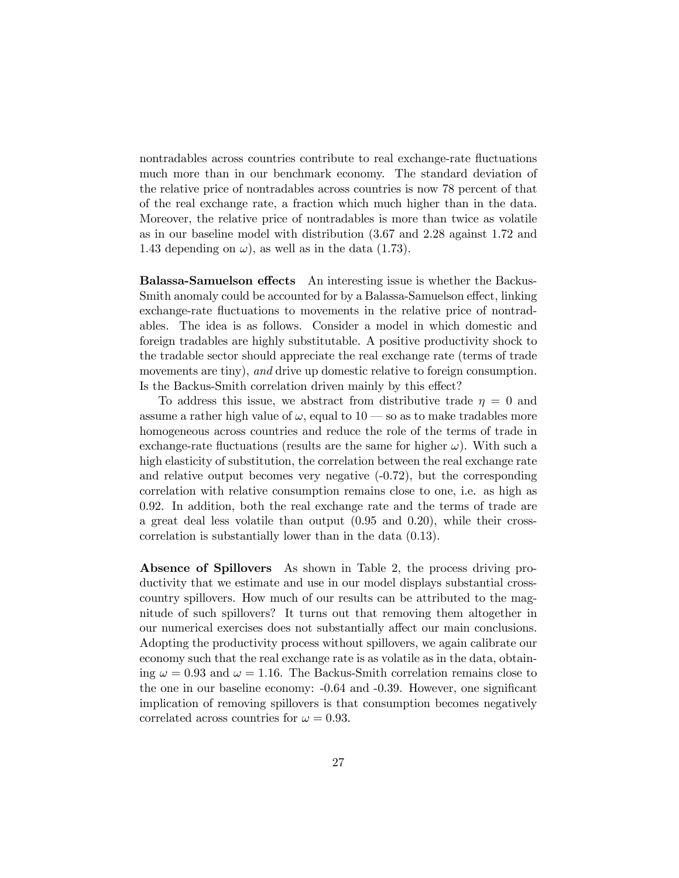nontradables across countries contribute to real exchange-rate fluctuations much more than in our benchmark economy. The standard deviation of the relative price of nontradables across countries is now 78 percent of that of the real exchange rate, a fraction which much higher than in the data. Moreover, the relative price of nontradables is more than twice as volatile as in our baseline model with distribution (3.67 and 2.28 against 1.72 and 1.43 depending on  $\omega$ , as well as in the data (1.73).

Balassa-Samuelson effects An interesting issue is whether the Backus-Smith anomaly could be accounted for by a Balassa-Samuelson effect, linking exchange-rate fluctuations to movements in the relative price of nontradables. The idea is as follows. Consider a model in which domestic and foreign tradables are highly substitutable. A positive productivity shock to the tradable sector should appreciate the real exchange rate (terms of trade movements are tiny), and drive up domestic relative to foreign consumption. Is the Backus-Smith correlation driven mainly by this effect?

To address this issue, we abstract from distributive trade  $\eta = 0$  and assume a rather high value of  $\omega$ , equal to 10 — so as to make tradables more homogeneous across countries and reduce the role of the terms of trade in exchange-rate fluctuations (results are the same for higher  $\omega$ ). With such a high elasticity of substitution, the correlation between the real exchange rate and relative output becomes very negative (-0.72), but the corresponding correlation with relative consumption remains close to one, i.e. as high as 0.92. In addition, both the real exchange rate and the terms of trade are a great deal less volatile than output (0.95 and 0.20), while their crosscorrelation is substantially lower than in the data (0.13).

Absence of Spillovers As shown in Table 2, the process driving productivity that we estimate and use in our model displays substantial crosscountry spillovers. How much of our results can be attributed to the magnitude of such spillovers? It turns out that removing them altogether in our numerical exercises does not substantially affect our main conclusions. Adopting the productivity process without spillovers, we again calibrate our economy such that the real exchange rate is as volatile as in the data, obtaining  $\omega = 0.93$  and  $\omega = 1.16$ . The Backus-Smith correlation remains close to the one in our baseline economy: -0.64 and -0.39. However, one significant implication of removing spillovers is that consumption becomes negatively correlated across countries for  $\omega = 0.93$ .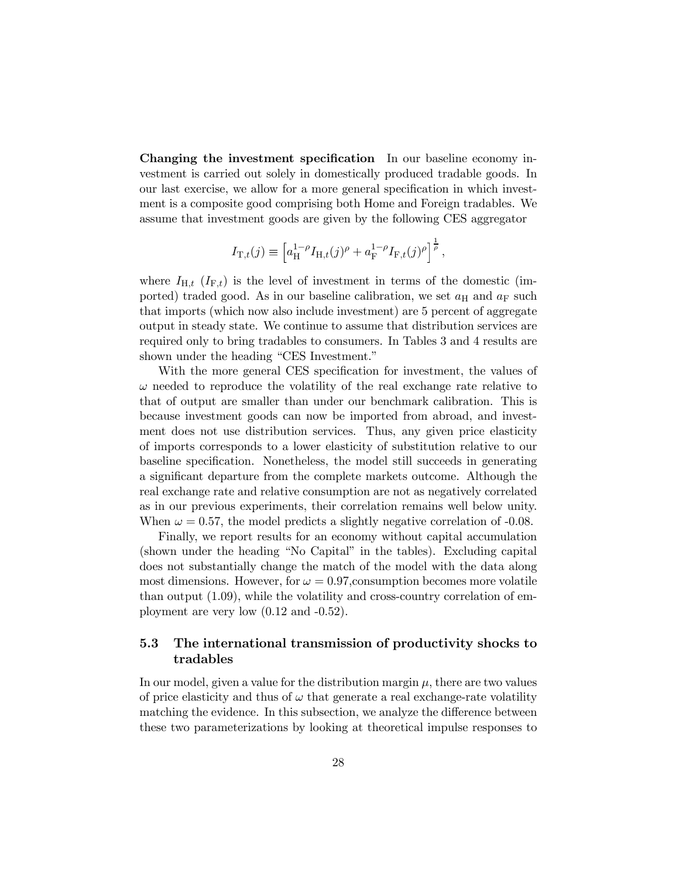Changing the investment specification In our baseline economy investment is carried out solely in domestically produced tradable goods. In our last exercise, we allow for a more general specification in which investment is a composite good comprising both Home and Foreign tradables. We assume that investment goods are given by the following CES aggregator

$$
I_{\mathrm{T},t}(j) \equiv \left[ a_{\mathrm{H}}^{1-\rho} I_{\mathrm{H},t}(j)^{\rho} + a_{\mathrm{F}}^{1-\rho} I_{\mathrm{F},t}(j)^{\rho} \right]^{\frac{1}{\rho}},
$$

where  $I_{H,t}$  ( $I_{F,t}$ ) is the level of investment in terms of the domestic (imported) traded good. As in our baseline calibration, we set  $a_{\rm H}$  and  $a_{\rm F}$  such that imports (which now also include investment) are 5 percent of aggregate output in steady state. We continue to assume that distribution services are required only to bring tradables to consumers. In Tables 3 and 4 results are shown under the heading "CES Investment."

With the more general CES specification for investment, the values of  $\omega$  needed to reproduce the volatility of the real exchange rate relative to that of output are smaller than under our benchmark calibration. This is because investment goods can now be imported from abroad, and investment does not use distribution services. Thus, any given price elasticity of imports corresponds to a lower elasticity of substitution relative to our baseline specification. Nonetheless, the model still succeeds in generating a significant departure from the complete markets outcome. Although the real exchange rate and relative consumption are not as negatively correlated as in our previous experiments, their correlation remains well below unity. When  $\omega = 0.57$ , the model predicts a slightly negative correlation of -0.08.

Finally, we report results for an economy without capital accumulation (shown under the heading "No Capital" in the tables). Excluding capital does not substantially change the match of the model with the data along most dimensions. However, for  $\omega = 0.97$ , consumption becomes more volatile than output (1.09), while the volatility and cross-country correlation of employment are very low (0.12 and -0.52).

# 5.3 The international transmission of productivity shocks to tradables

In our model, given a value for the distribution margin  $\mu$ , there are two values of price elasticity and thus of  $\omega$  that generate a real exchange-rate volatility matching the evidence. In this subsection, we analyze the difference between these two parameterizations by looking at theoretical impulse responses to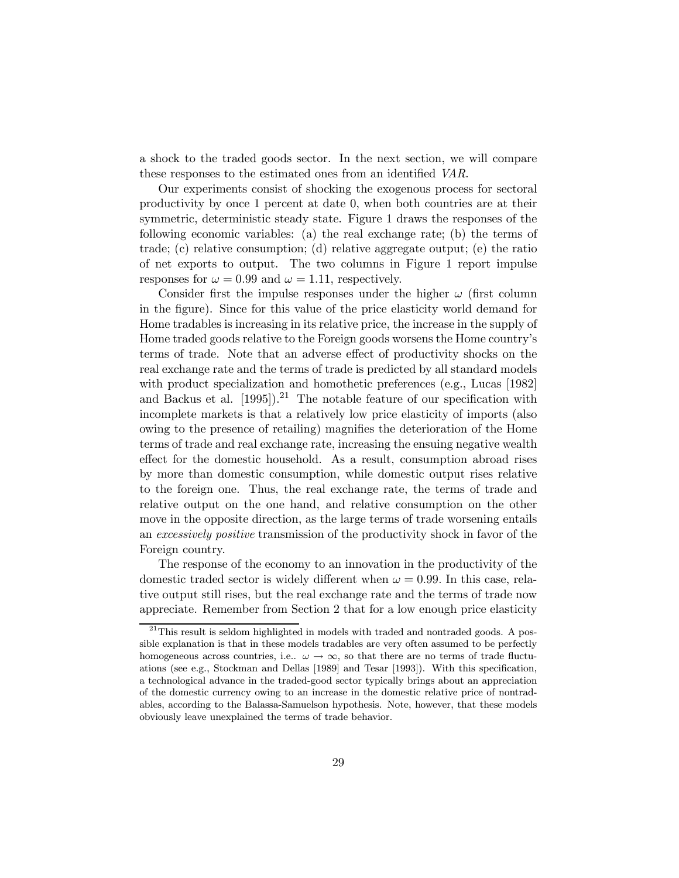a shock to the traded goods sector. In the next section, we will compare these responses to the estimated ones from an identified VAR.

Our experiments consist of shocking the exogenous process for sectoral productivity by once 1 percent at date 0, when both countries are at their symmetric, deterministic steady state. Figure 1 draws the responses of the following economic variables: (a) the real exchange rate; (b) the terms of trade; (c) relative consumption; (d) relative aggregate output; (e) the ratio of net exports to output. The two columns in Figure 1 report impulse responses for  $\omega = 0.99$  and  $\omega = 1.11$ , respectively.

Consider first the impulse responses under the higher  $\omega$  (first column in the figure). Since for this value of the price elasticity world demand for Home tradables is increasing in its relative price, the increase in the supply of Home traded goods relative to the Foreign goods worsens the Home countryís terms of trade. Note that an adverse effect of productivity shocks on the real exchange rate and the terms of trade is predicted by all standard models with product specialization and homothetic preferences (e.g., Lucas [1982] and Backus et al.  $[1995]$ .<sup>21</sup> The notable feature of our specification with incomplete markets is that a relatively low price elasticity of imports (also owing to the presence of retailing) magnifies the deterioration of the Home terms of trade and real exchange rate, increasing the ensuing negative wealth effect for the domestic household. As a result, consumption abroad rises by more than domestic consumption, while domestic output rises relative to the foreign one. Thus, the real exchange rate, the terms of trade and relative output on the one hand, and relative consumption on the other move in the opposite direction, as the large terms of trade worsening entails an excessively positive transmission of the productivity shock in favor of the Foreign country.

The response of the economy to an innovation in the productivity of the domestic traded sector is widely different when  $\omega = 0.99$ . In this case, relative output still rises, but the real exchange rate and the terms of trade now appreciate. Remember from Section 2 that for a low enough price elasticity

 $^{21}$ This result is seldom highlighted in models with traded and nontraded goods. A possible explanation is that in these models tradables are very often assumed to be perfectly homogeneous across countries, i.e..  $\omega \to \infty$ , so that there are no terms of trade fluctuations (see e.g., Stockman and Dellas [1989] and Tesar [1993]). With this specification, a technological advance in the traded-good sector typically brings about an appreciation of the domestic currency owing to an increase in the domestic relative price of nontradables, according to the Balassa-Samuelson hypothesis. Note, however, that these models obviously leave unexplained the terms of trade behavior.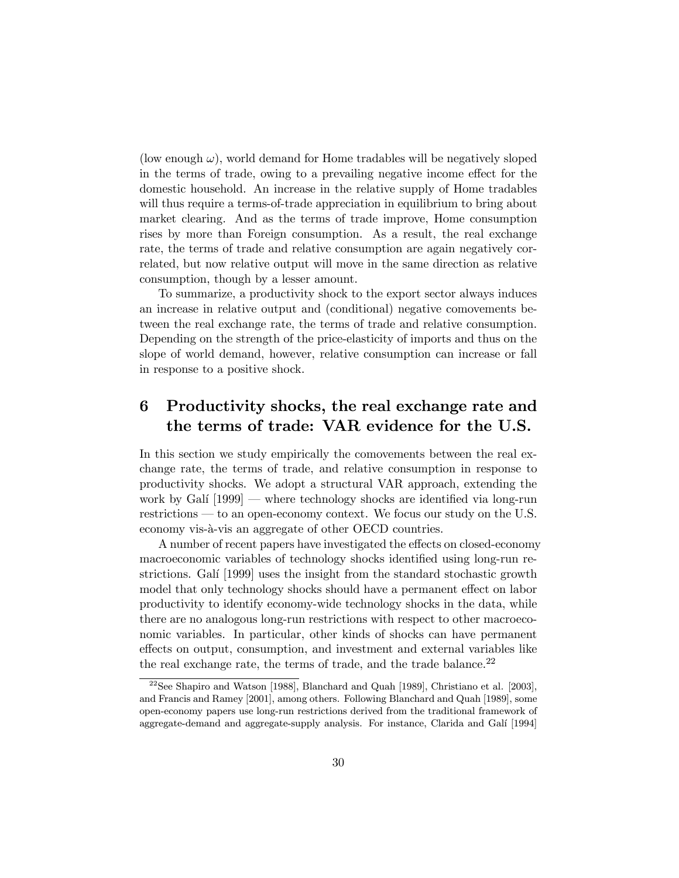(low enough  $\omega$ ), world demand for Home tradables will be negatively sloped in the terms of trade, owing to a prevailing negative income effect for the domestic household. An increase in the relative supply of Home tradables will thus require a terms-of-trade appreciation in equilibrium to bring about market clearing. And as the terms of trade improve, Home consumption rises by more than Foreign consumption. As a result, the real exchange rate, the terms of trade and relative consumption are again negatively correlated, but now relative output will move in the same direction as relative consumption, though by a lesser amount.

To summarize, a productivity shock to the export sector always induces an increase in relative output and (conditional) negative comovements between the real exchange rate, the terms of trade and relative consumption. Depending on the strength of the price-elasticity of imports and thus on the slope of world demand, however, relative consumption can increase or fall in response to a positive shock.

## Productivity shocks, the real exchange rate and 6 the terms of trade: VAR evidence for the U.S.

In this section we study empirically the comovements between the real exchange rate, the terms of trade, and relative consumption in response to productivity shocks. We adopt a structural VAR approach, extending the work by Galí  $[1999]$  — where technology shocks are identified via long-run restrictions  $\sim$  to an open-economy context. We focus our study on the U.S. economy vis-à-vis an aggregate of other OECD countries.

A number of recent papers have investigated the effects on closed-economy macroeconomic variables of technology shocks identified using long-run restrictions. Galí [1999] uses the insight from the standard stochastic growth model that only technology shocks should have a permanent effect on labor productivity to identify economy-wide technology shocks in the data, while there are no analogous long-run restrictions with respect to other macroeconomic variables. In particular, other kinds of shocks can have permanent effects on output, consumption, and investment and external variables like the real exchange rate, the terms of trade, and the trade balance. $^{22}$ 

 $22$ See Shapiro and Watson [1988], Blanchard and Quah [1989], Christiano et al. [2003], and Francis and Ramey [2001], among others. Following Blanchard and Quah [1989], some open-economy papers use long-run restrictions derived from the traditional framework of aggregate-demand and aggregate-supply analysis. For instance, Clarida and Galí [1994]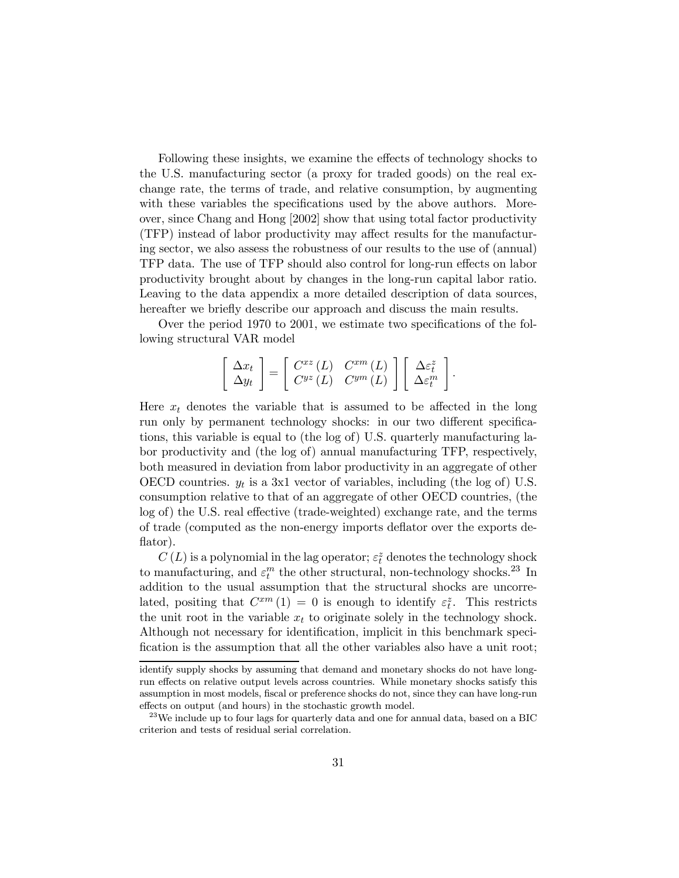Following these insights, we examine the effects of technology shocks to the U.S. manufacturing sector (a proxy for traded goods) on the real exchange rate, the terms of trade, and relative consumption, by augmenting with these variables the specifications used by the above authors. Moreover, since Chang and Hong [2002] show that using total factor productivity (TFP) instead of labor productivity may affect results for the manufacturing sector, we also assess the robustness of our results to the use of (annual) TFP data. The use of TFP should also control for long-run effects on labor productivity brought about by changes in the long-run capital labor ratio. Leaving to the data appendix a more detailed description of data sources, hereafter we briefly describe our approach and discuss the main results.

Over the period 1970 to 2001, we estimate two specifications of the following structural VAR model

$$
\left[\begin{array}{c} \Delta x_t \\ \Delta y_t \end{array}\right] = \left[\begin{array}{cc} C^{xz} (L) & C^{xm} (L) \\ C^{yz} (L) & C^{ym} (L) \end{array}\right] \left[\begin{array}{c} \Delta \varepsilon_t^z \\ \Delta \varepsilon_t^m \end{array}\right].
$$

Here  $x_t$  denotes the variable that is assumed to be affected in the long run only by permanent technology shocks: in our two different specifications, this variable is equal to (the log of) U.S. quarterly manufacturing labor productivity and (the log of) annual manufacturing TFP, respectively, both measured in deviation from labor productivity in an aggregate of other OECD countries.  $y_t$  is a 3x1 vector of variables, including (the log of) U.S. consumption relative to that of an aggregate of other OECD countries, (the log of) the U.S. real effective (trade-weighted) exchange rate, and the terms of trade (computed as the non-energy imports deflator over the exports deflator).

 $C\left( L\right)$  is a polynomial in the lag operator;  $\varepsilon_{t}^{z}$  denotes the technology shock to manufacturing, and  $\varepsilon_t^m$  the other structural, non-technology shocks.<sup>23</sup> In addition to the usual assumption that the structural shocks are uncorrelated, positing that  $C^{xm}(1) = 0$  is enough to identify  $\varepsilon_t^z$ . This restricts the unit root in the variable  $x_t$  to originate solely in the technology shock. Although not necessary for identification, implicit in this benchmark specification is the assumption that all the other variables also have a unit root;

identify supply shocks by assuming that demand and monetary shocks do not have longrun effects on relative output levels across countries. While monetary shocks satisfy this assumption in most models, fiscal or preference shocks do not, since they can have long-run effects on output (and hours) in the stochastic growth model.

 $^{23}$ We include up to four lags for quarterly data and one for annual data, based on a BIC criterion and tests of residual serial correlation.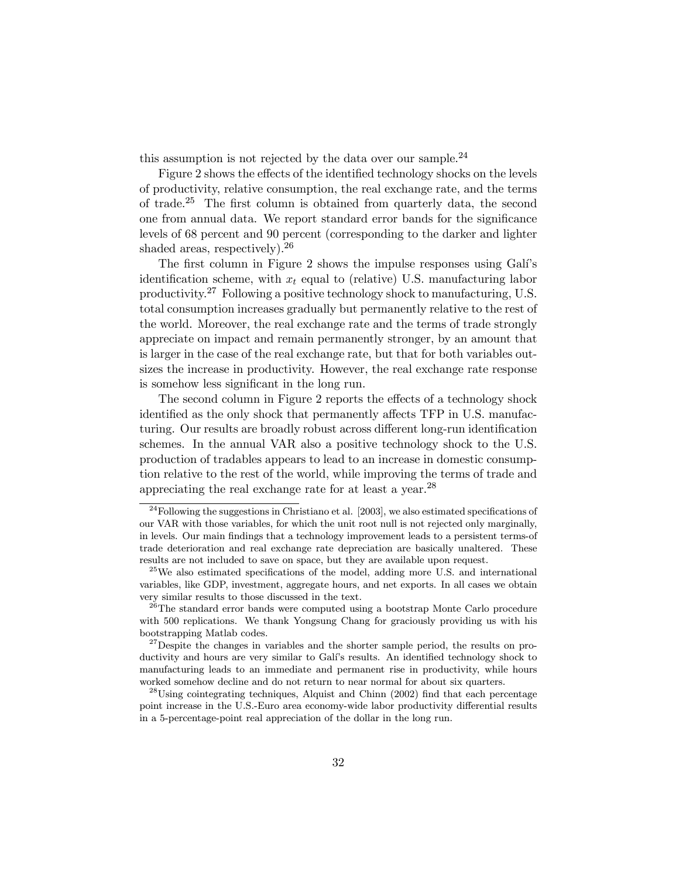this assumption is not rejected by the data over our sample.<sup>24</sup>

Figure 2 shows the effects of the identified technology shocks on the levels of productivity, relative consumption, the real exchange rate, and the terms of trade.<sup>25</sup> The first column is obtained from quarterly data, the second one from annual data. We report standard error bands for the significance levels of 68 percent and 90 percent (corresponding to the darker and lighter shaded areas, respectively).<sup>26</sup>

The first column in Figure 2 shows the impulse responses using Gali's identification scheme, with  $x_t$  equal to (relative) U.S. manufacturing labor productivity.<sup>27</sup> Following a positive technology shock to manufacturing, U.S. total consumption increases gradually but permanently relative to the rest of the world. Moreover, the real exchange rate and the terms of trade strongly appreciate on impact and remain permanently stronger, by an amount that is larger in the case of the real exchange rate, but that for both variables outsizes the increase in productivity. However, the real exchange rate response is somehow less significant in the long run.

The second column in Figure 2 reports the effects of a technology shock identified as the only shock that permanently affects TFP in U.S. manufacturing. Our results are broadly robust across different long-run identification schemes. In the annual VAR also a positive technology shock to the U.S. production of tradables appears to lead to an increase in domestic consumption relative to the rest of the world, while improving the terms of trade and appreciating the real exchange rate for at least a year.<sup>28</sup>

 $^{24}$ Following the suggestions in Christiano et al. [2003], we also estimated specifications of our VAR with those variables, for which the unit root null is not rejected only marginally, in levels. Our main findings that a technology improvement leads to a persistent terms-of trade deterioration and real exchange rate depreciation are basically unaltered. These results are not included to save on space, but they are available upon request.

<sup>25</sup>We also estimated specifications of the model, adding more U.S. and international variables, like GDP, investment, aggregate hours, and net exports. In all cases we obtain very similar results to those discussed in the text.

 $26$ The standard error bands were computed using a bootstrap Monte Carlo procedure with 500 replications. We thank Yongsung Chang for graciously providing us with his bootstrapping Matlab codes.

 $27$  Despite the changes in variables and the shorter sample period, the results on productivity and hours are very similar to Galí's results. An identified technology shock to manufacturing leads to an immediate and permanent rise in productivity, while hours worked somehow decline and do not return to near normal for about six quarters.

<sup>&</sup>lt;sup>28</sup>Using cointegrating techniques, Alquist and Chinn (2002) find that each percentage point increase in the U.S.-Euro area economy-wide labor productivity differential results in a 5-percentage-point real appreciation of the dollar in the long run.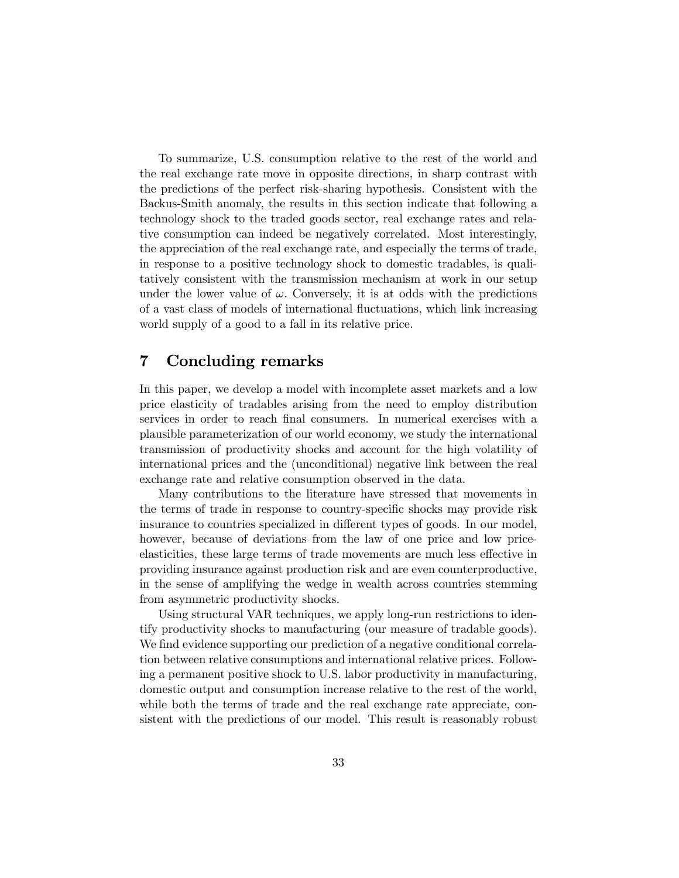To summarize, U.S. consumption relative to the rest of the world and the real exchange rate move in opposite directions, in sharp contrast with the predictions of the perfect risk-sharing hypothesis. Consistent with the Backus-Smith anomaly, the results in this section indicate that following a technology shock to the traded goods sector, real exchange rates and relative consumption can indeed be negatively correlated. Most interestingly, the appreciation of the real exchange rate, and especially the terms of trade, in response to a positive technology shock to domestic tradables, is qualitatively consistent with the transmission mechanism at work in our setup under the lower value of  $\omega$ . Conversely, it is at odds with the predictions of a vast class of models of international fluctuations, which link increasing world supply of a good to a fall in its relative price.

#### $\overline{7}$ **Concluding remarks**

In this paper, we develop a model with incomplete asset markets and a low price elasticity of tradables arising from the need to employ distribution services in order to reach final consumers. In numerical exercises with a plausible parameterization of our world economy, we study the international transmission of productivity shocks and account for the high volatility of international prices and the (unconditional) negative link between the real exchange rate and relative consumption observed in the data.

Many contributions to the literature have stressed that movements in the terms of trade in response to country-specific shocks may provide risk insurance to countries specialized in different types of goods. In our model, however, because of deviations from the law of one price and low priceelasticities, these large terms of trade movements are much less effective in providing insurance against production risk and are even counterproductive, in the sense of amplifying the wedge in wealth across countries stemming from asymmetric productivity shocks.

Using structural VAR techniques, we apply long-run restrictions to identify productivity shocks to manufacturing (our measure of tradable goods). We find evidence supporting our prediction of a negative conditional correlation between relative consumptions and international relative prices. Following a permanent positive shock to U.S. labor productivity in manufacturing, domestic output and consumption increase relative to the rest of the world, while both the terms of trade and the real exchange rate appreciate, consistent with the predictions of our model. This result is reasonably robust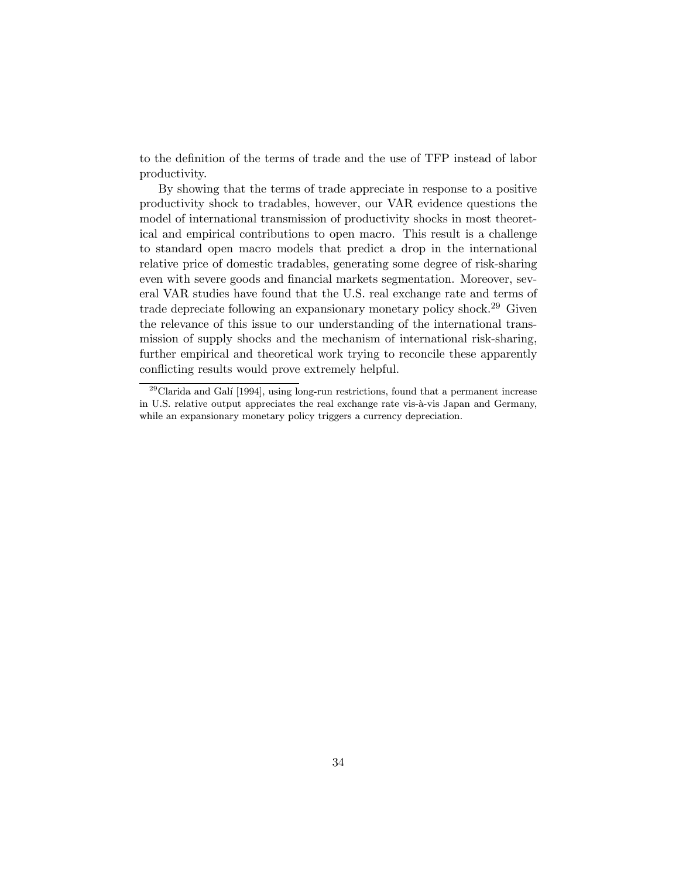to the definition of the terms of trade and the use of TFP instead of labor productivity.

By showing that the terms of trade appreciate in response to a positive productivity shock to tradables, however, our VAR evidence questions the model of international transmission of productivity shocks in most theoretical and empirical contributions to open macro. This result is a challenge to standard open macro models that predict a drop in the international relative price of domestic tradables, generating some degree of risk-sharing even with severe goods and financial markets segmentation. Moreover, several VAR studies have found that the U.S. real exchange rate and terms of trade depreciate following an expansionary monetary policy shock.<sup>29</sup> Given the relevance of this issue to our understanding of the international transmission of supply shocks and the mechanism of international risk-sharing, further empirical and theoretical work trying to reconcile these apparently conflicting results would prove extremely helpful.

 $^{29}$ Clarida and Galí [1994], using long-run restrictions, found that a permanent increase in U.S. relative output appreciates the real exchange rate vis-à-vis Japan and Germany, while an expansionary monetary policy triggers a currency depreciation.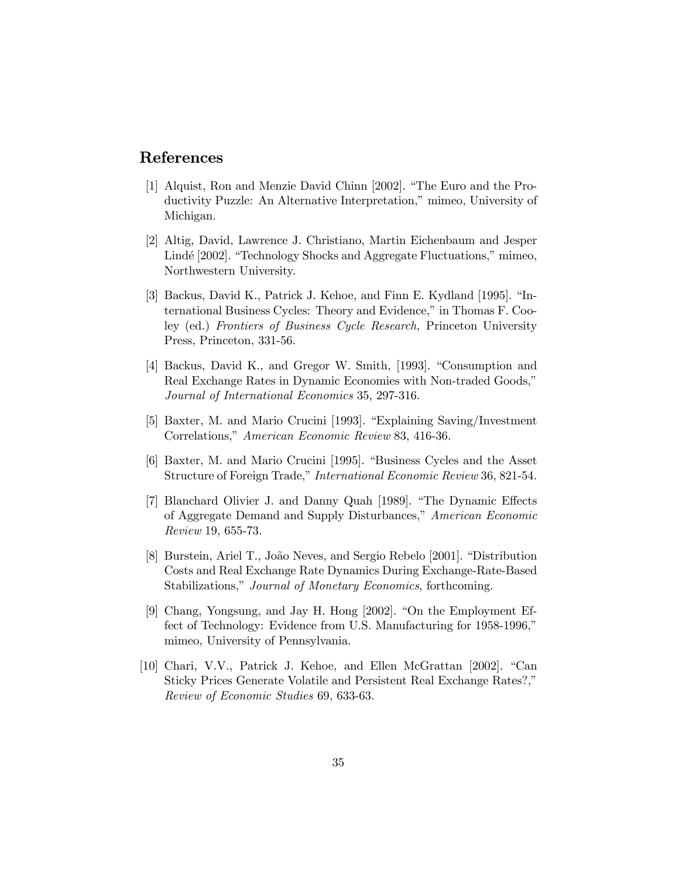# References

- [1] Alquist, Ron and Menzie David Chinn [2002]. "The Euro and the Productivity Puzzle: An Alternative Interpretation," mimeo, University of Michigan.
- [2] Altig, David, Lawrence J. Christiano, Martin Eichenbaum and Jesper Lindé [2002]. "Technology Shocks and Aggregate Fluctuations," mimeo, Northwestern University.
- [3] Backus, David K., Patrick J. Kehoe, and Finn E. Kydland [1995]. "International Business Cycles: Theory and Evidence," in Thomas F. Cooley (ed.) Frontiers of Business Cycle Research, Princeton University Press, Princeton, 331-56.
- [4] Backus, David K., and Gregor W. Smith, [1993]. "Consumption and Real Exchange Rates in Dynamic Economies with Non-traded Goods," Journal of International Economics 35, 297-316.
- [5] Baxter, M. and Mario Crucini [1993]. "Explaining Saving/Investment Correlations," American Economic Review 83, 416-36.
- [6] Baxter, M. and Mario Crucini [1995]. "Business Cycles and the Asset Structure of Foreign Trade," International Economic Review 36, 821-54.
- [7] Blanchard Olivier J. and Danny Quah [1989]. "The Dynamic Effects of Aggregate Demand and Supply Disturbances," American Economic Review 19, 655-73.
- [8] Burstein, Ariel T., João Neves, and Sergio Rebelo [2001]. "Distribution Costs and Real Exchange Rate Dynamics During Exchange-Rate-Based Stabilizations," Journal of Monetary Economics, forthcoming.
- [9] Chang, Yongsung, and Jay H. Hong  $[2002]$ . "On the Employment Effect of Technology: Evidence from U.S. Manufacturing for 1958-1996," mimeo, University of Pennsylvania.
- $[10]$  Chari, V.V., Patrick J. Kehoe, and Ellen McGrattan  $[2002]$ . "Can Sticky Prices Generate Volatile and Persistent Real Exchange Rates?," Review of Economic Studies 69, 633-63.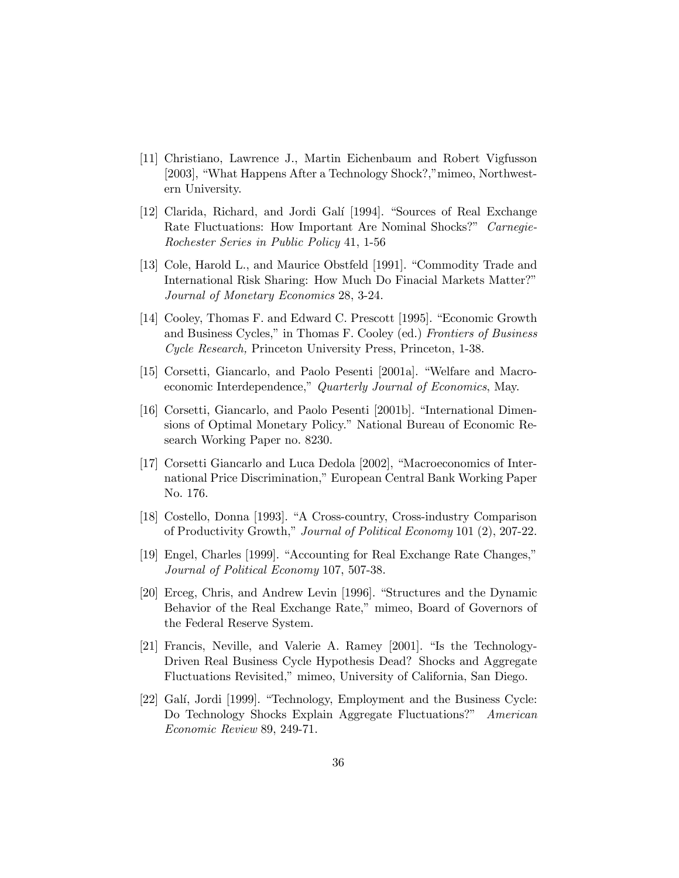- [11] Christiano, Lawrence J., Martin Eichenbaum and Robert Vigfusson [2003], "What Happens After a Technology Shock?," mimeo, Northwestern University.
- [12] Clarida, Richard, and Jordi Galí [1994]. "Sources of Real Exchange Rate Fluctuations: How Important Are Nominal Shocks?" Carnegie-Rochester Series in Public Policy 41, 1-56
- [13] Cole, Harold L., and Maurice Obstfeld [1991]. "Commodity Trade and International Risk Sharing: How Much Do Finacial Markets Matter?î Journal of Monetary Economics 28, 3-24.
- [14] Cooley, Thomas F. and Edward C. Prescott [1995]. "Economic Growth and Business Cycles," in Thomas F. Cooley (ed.) Frontiers of Business Cycle Research, Princeton University Press, Princeton, 1-38.
- [15] Corsetti, Giancarlo, and Paolo Pesenti [2001a]. "Welfare and Macroeconomic Interdependence," Quarterly Journal of Economics, May.
- [16] Corsetti, Giancarlo, and Paolo Pesenti [2001b]. "International Dimensions of Optimal Monetary Policy." National Bureau of Economic Research Working Paper no. 8230.
- [17] Corsetti Giancarlo and Luca Dedola [2002], "Macroeconomics of International Price Discrimination," European Central Bank Working Paper No. 176.
- [18] Costello, Donna [1993]. "A Cross-country, Cross-industry Comparison of Productivity Growth," Journal of Political Economy 101 (2), 207-22.
- [19] Engel, Charles [1999]. "Accounting for Real Exchange Rate Changes," Journal of Political Economy 107, 507-38.
- [20] Erceg, Chris, and Andrew Levin [1996]. "Structures and the Dynamic Behavior of the Real Exchange Rate," mimeo, Board of Governors of the Federal Reserve System.
- [21] Francis, Neville, and Valerie A. Ramey [2001]. "Is the Technology-Driven Real Business Cycle Hypothesis Dead? Shocks and Aggregate Fluctuations Revisited,î mimeo, University of California, San Diego.
- [22] Galí, Jordi [1999]. "Technology, Employment and the Business Cycle: Do Technology Shocks Explain Aggregate Fluctuations?" American Economic Review 89, 249-71.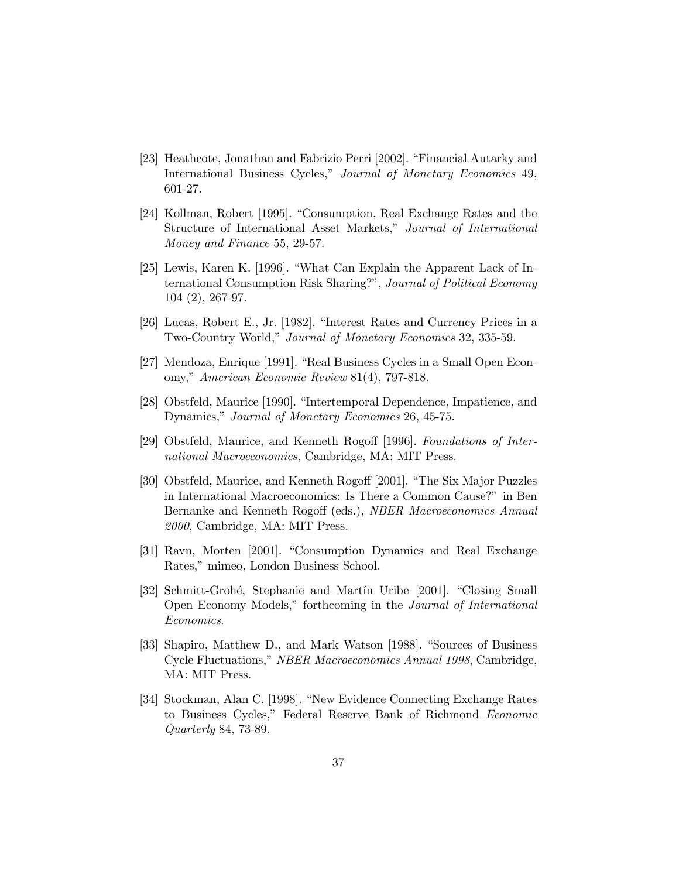- [23] Heathcote, Jonathan and Fabrizio Perri [2002]. "Financial Autarky and International Business Cycles," Journal of Monetary Economics 49, 601-27.
- [24] Kollman, Robert [1995]. "Consumption, Real Exchange Rates and the Structure of International Asset Markets," Journal of International Money and Finance 55, 29-57.
- [25] Lewis, Karen K. [1996]. "What Can Explain the Apparent Lack of International Consumption Risk Sharing?", Journal of Political Economy 104 (2), 267-97.
- [26] Lucas, Robert E., Jr. [1982]. "Interest Rates and Currency Prices in a Two-Country World," Journal of Monetary Economics 32, 335-59.
- [27] Mendoza, Enrique [1991]. "Real Business Cycles in a Small Open Economy," American Economic Review 81(4), 797-818.
- [28] Obstfeld, Maurice [1990]. "Intertemporal Dependence, Impatience, and Dynamics," Journal of Monetary Economics 26, 45-75.
- [29] Obstfeld, Maurice, and Kenneth Rogoff [1996]. Foundations of International Macroeconomics, Cambridge, MA: MIT Press.
- [30] Obstfeld, Maurice, and Kenneth Rogoff [2001]. "The Six Major Puzzles in International Macroeconomics: Is There a Common Cause?" in Ben Bernanke and Kenneth Rogoff (eds.), NBER Macroeconomics Annual 2000, Cambridge, MA: MIT Press.
- [31] Ravn, Morten [2001]. "Consumption Dynamics and Real Exchange Rates," mimeo, London Business School.
- [32] Schmitt-Grohé, Stephanie and Martín Uribe [2001]. "Closing Small Open Economy Models,î forthcoming in the Journal of International Economics.
- [33] Shapiro, Matthew D., and Mark Watson [1988]. "Sources of Business Cycle Fluctuations,î NBER Macroeconomics Annual 1998, Cambridge, MA: MIT Press.
- [34] Stockman, Alan C. [1998]. "New Evidence Connecting Exchange Rates to Business Cycles," Federal Reserve Bank of Richmond Economic Quarterly 84, 73-89.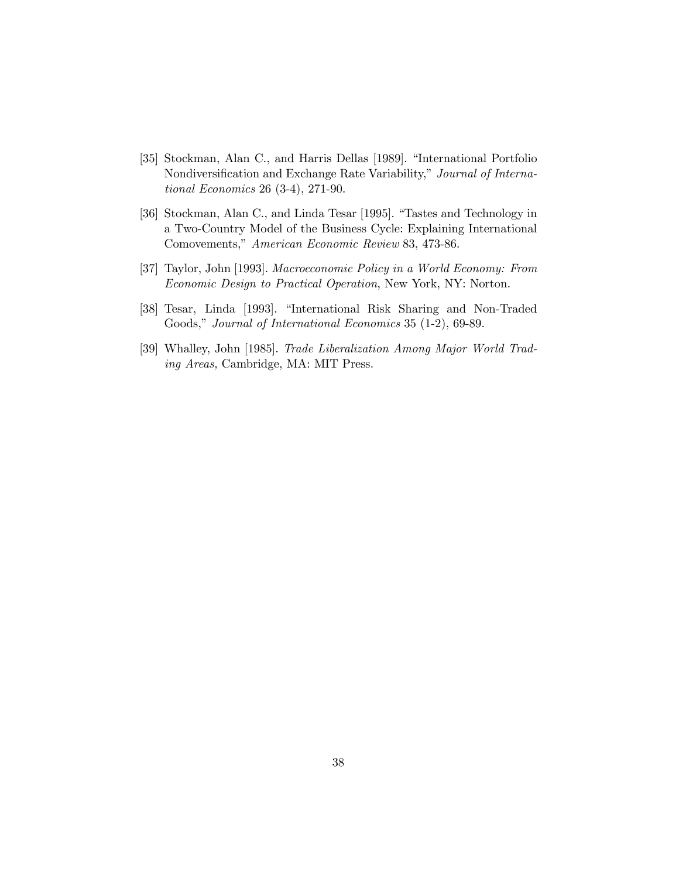- [35] Stockman, Alan C., and Harris Dellas [1989]. "International Portfolio Nondiversification and Exchange Rate Variability," Journal of International Economics 26 (3-4), 271-90.
- [36] Stockman, Alan C., and Linda Tesar [1995]. "Tastes and Technology in a Two-Country Model of the Business Cycle: Explaining International Comovements," American Economic Review 83, 473-86.
- [37] Taylor, John [1993]. Macroeconomic Policy in a World Economy: From Economic Design to Practical Operation, New York, NY: Norton.
- [38] Tesar, Linda [1993]. "International Risk Sharing and Non-Traded Goods," Journal of International Economics 35 (1-2), 69-89.
- [39] Whalley, John [1985]. Trade Liberalization Among Major World Trading Areas, Cambridge, MA: MIT Press.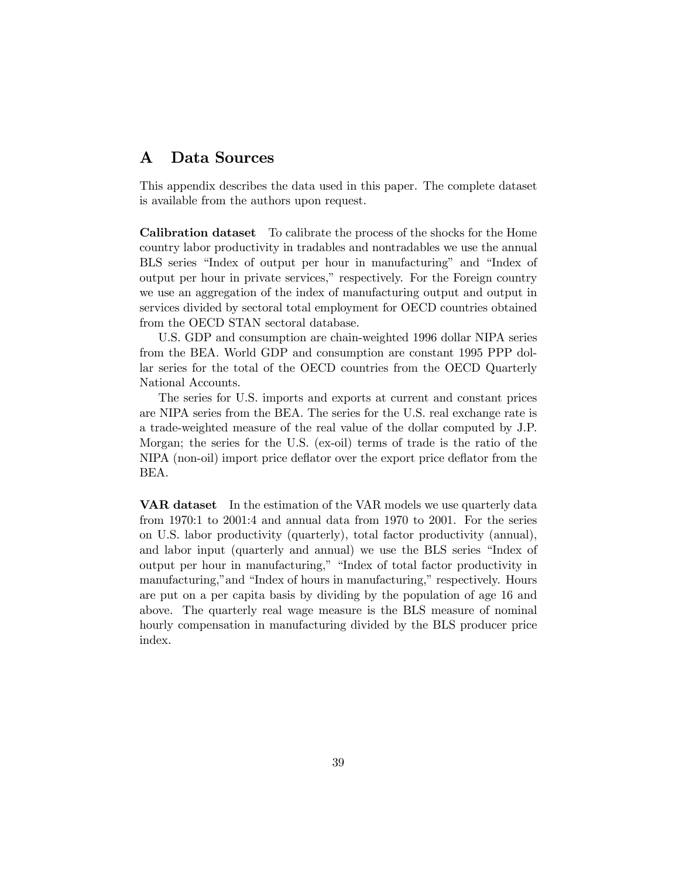### Data Sources  $\bf A$

This appendix describes the data used in this paper. The complete dataset is available from the authors upon request.

Calibration dataset To calibrate the process of the shocks for the Home country labor productivity in tradables and nontradables we use the annual BLS series "Index of output per hour in manufacturing" and "Index of output per hour in private services,î respectively. For the Foreign country we use an aggregation of the index of manufacturing output and output in services divided by sectoral total employment for OECD countries obtained from the OECD STAN sectoral database.

U.S. GDP and consumption are chain-weighted 1996 dollar NIPA series from the BEA. World GDP and consumption are constant 1995 PPP dollar series for the total of the OECD countries from the OECD Quarterly National Accounts.

The series for U.S. imports and exports at current and constant prices are NIPA series from the BEA. The series for the U.S. real exchange rate is a trade-weighted measure of the real value of the dollar computed by J.P. Morgan; the series for the U.S. (ex-oil) terms of trade is the ratio of the NIPA (non-oil) import price deflator over the export price deflator from the BEA.

VAR dataset In the estimation of the VAR models we use quarterly data from 1970:1 to 2001:4 and annual data from 1970 to 2001. For the series on U.S. labor productivity (quarterly), total factor productivity (annual), and labor input (quarterly and annual) we use the BLS series "Index of output per hour in manufacturing," "Index of total factor productivity in manufacturing," and "Index of hours in manufacturing," respectively. Hours are put on a per capita basis by dividing by the population of age 16 and above. The quarterly real wage measure is the BLS measure of nominal hourly compensation in manufacturing divided by the BLS producer price index.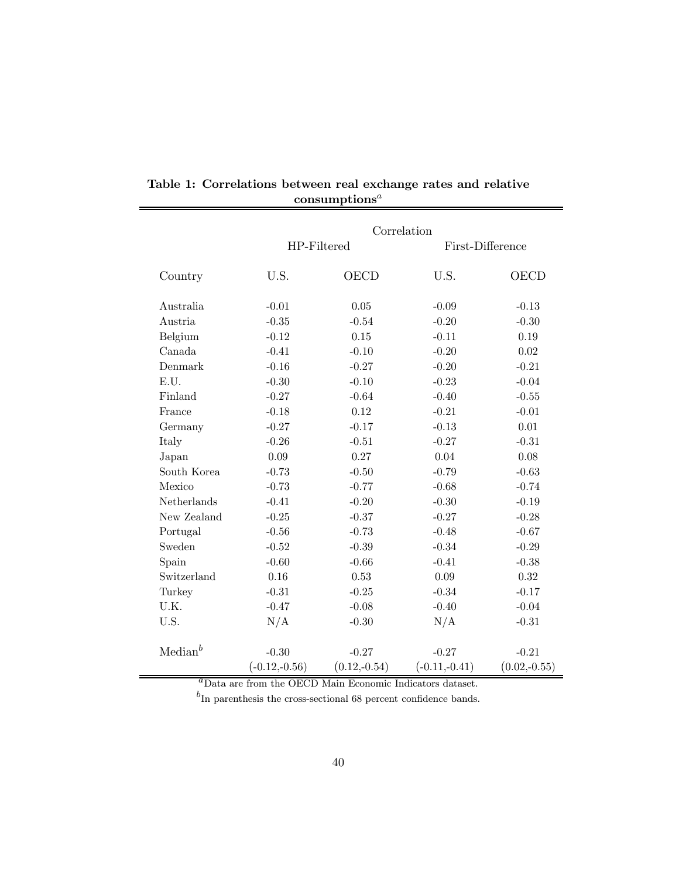|                     |                 | Correlation    |                  |                |
|---------------------|-----------------|----------------|------------------|----------------|
|                     | HP-Filtered     |                | First-Difference |                |
| Country             | U.S.            | <b>OECD</b>    | U.S.             | <b>OECD</b>    |
| Australia           | $-0.01$         | 0.05           | $-0.09$          | $-0.13$        |
| Austria             | $-0.35$         | $-0.54$        | $-0.20$          | $-0.30$        |
| Belgium             | $-0.12$         | $0.15\,$       | $-0.11$          | 0.19           |
| Canada              | $-0.41$         | $-0.10$        | $-0.20$          | 0.02           |
| Denmark             | $-0.16$         | $-0.27$        | $-0.20$          | $-0.21$        |
| E.U.                | $-0.30$         | $-0.10$        | $-0.23$          | $-0.04$        |
| Finland             | $-0.27$         | $-0.64$        | $-0.40$          | $-0.55$        |
| France              | $-0.18$         | 0.12           | $-0.21$          | $-0.01$        |
| Germany             | $-0.27$         | $-0.17$        | $-0.13$          | 0.01           |
| Italy               | $-0.26$         | $-0.51$        | $-0.27$          | $-0.31$        |
| Japan               | 0.09            | 0.27           | 0.04             | 0.08           |
| South Korea         | $-0.73$         | $-0.50$        | $-0.79$          | $-0.63$        |
| Mexico              | $-0.73$         | $-0.77$        | $-0.68$          | $-0.74$        |
| Netherlands         | $-0.41$         | $-0.20$        | $-0.30$          | $-0.19$        |
| New Zealand         | $-0.25$         | $-0.37$        | $-0.27$          | $-0.28$        |
| Portugal            | $-0.56$         | $-0.73$        | $-0.48$          | $-0.67$        |
| Sweden              | $-0.52$         | $-0.39$        | $-0.34$          | $-0.29$        |
| Spain               | $-0.60$         | $-0.66$        | $-0.41$          | $-0.38$        |
| Switzerland         | 0.16            | 0.53           | 0.09             | $0.32\,$       |
| Turkey              | $-0.31$         | $-0.25$        | $-0.34$          | $-0.17$        |
| U.K.                | $-0.47$         | $-0.08$        | $-0.40$          | $-0.04$        |
| U.S.                | N/A             | $-0.30$        | N/A              | $-0.31$        |
| Median <sup>b</sup> | $-0.30$         | $-0.27$        | $-0.27$          | $-0.21$        |
|                     | $(-0.12,-0.56)$ | $(0.12,-0.54)$ | $(-0.11,-0.41)$  | $(0.02,-0.55)$ |

Table 1: Correlations between real exchange rates and relative  ${\rm consumptions}^a$ 

Data are from the OECD Main Economic Indicators dataset.

 $^{b}$ In parenthesis the cross-sectional 68 percent confidence bands.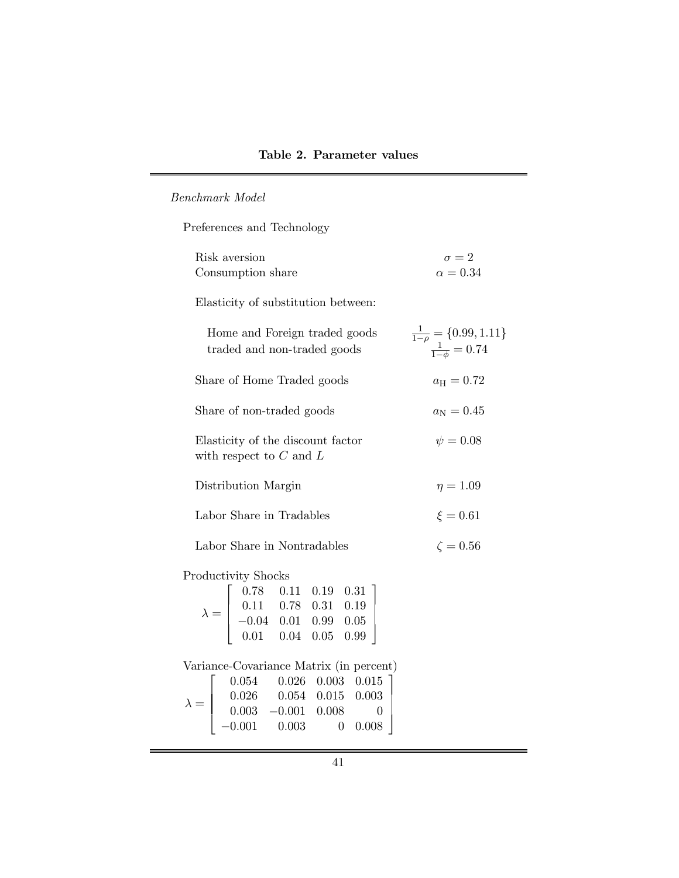# Benchmark Model

Preferences and Technology

| Risk aversion                                                                                                                                                                                                                  | $\sigma = 2$                                                   |
|--------------------------------------------------------------------------------------------------------------------------------------------------------------------------------------------------------------------------------|----------------------------------------------------------------|
| Consumption share                                                                                                                                                                                                              | $\alpha = 0.34$                                                |
| Elasticity of substitution between:                                                                                                                                                                                            |                                                                |
| Home and Foreign traded goods<br>traded and non-traded goods                                                                                                                                                                   | $\frac{1}{1-\rho} = \{0.99, 1.11$<br>$\frac{1}{1-\phi} = 0.74$ |
| Share of Home Traded goods                                                                                                                                                                                                     | $a_{\rm H}=0.72$                                               |
| Share of non-traded goods                                                                                                                                                                                                      | $a_{\rm N}=0.45$ $\psi=0.08$                                   |
| Elasticity of the discount factor<br>with respect to $C$ and $L$                                                                                                                                                               |                                                                |
| Distribution Margin                                                                                                                                                                                                            | $\eta=1.09$                                                    |
| Labor Share in Tradables                                                                                                                                                                                                       | $\xi=0.61$<br>$\zeta=0.56$                                     |
| Labor Share in Nontradables                                                                                                                                                                                                    |                                                                |
| <b>Productivity Shocks</b>                                                                                                                                                                                                     |                                                                |
| $\lambda = \left[\begin{array}{cccc} 0.78 & 0.11 & 0.19 & 0.31 \\ 0.11 & 0.78 & 0.31 & 0.19 \\ -0.04 & 0.01 & 0.99 & 0.05 \\ 0.01 & 0.04 & 0.05 & 0.99 \end{array}\right]$                                                     |                                                                |
| Variance-Covariance Matrix (in percent)<br>$\lambda = \left[\begin{array}{cccc} 0.054 & 0.026 & 0.003 & 0.015 \\ 0.026 & 0.054 & 0.015 & 0.003 \\ 0.003 & -0.001 & 0.008 & 0 \\ -0.001 & 0.003 & 0 & 0.008 \end{array}\right]$ |                                                                |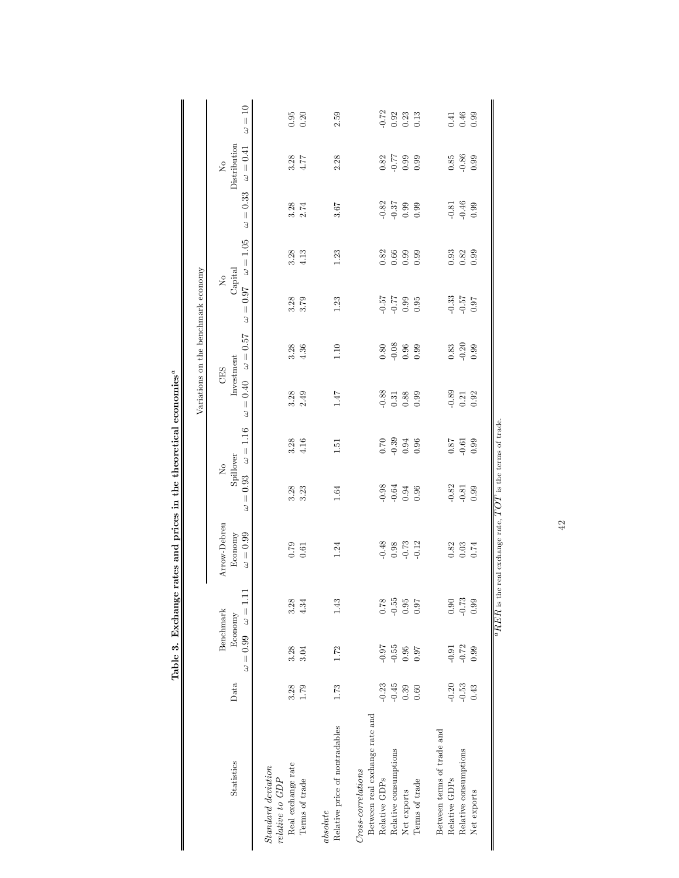|                                                    |               |                                         |                                                                 |                                              |               |                                    | Variations on the benchmark economy |                         |                                                       |                                      |                                                  |                                                     |
|----------------------------------------------------|---------------|-----------------------------------------|-----------------------------------------------------------------|----------------------------------------------|---------------|------------------------------------|-------------------------------------|-------------------------|-------------------------------------------------------|--------------------------------------|--------------------------------------------------|-----------------------------------------------------|
| Data<br>Statistics                                 | $\omega=0.99$ | $\omega = 1.11$<br>Benchmark<br>Economy | Arrow-Debreu<br>$\omega=0.99$<br>Economy                        | Spillover<br>$\mathsf{N}_0$<br>$= 0.93$<br>3 | $\omega=1.16$ | Investment<br>CES<br>$= 0.40$<br>3 | $\omega=0.57$                       | $\omega=0.97$           | $\omega=1.05$<br>Capital<br>$\mathsf{X}_{\mathsf{O}}$ | $\omega=0.33$                        | Distribution<br>$\omega = 0.41$<br>$\mathcal{S}$ | $\omega=10$                                         |
| Standard deviation<br>relative to GDP              |               |                                         |                                                                 |                                              |               |                                    |                                     |                         |                                                       |                                      |                                                  |                                                     |
| 3.28<br>Real exchange rate                         | 3.28          | 3.28                                    | 0.79                                                            | 3.28                                         | 3.28          | 3.28                               | 3.28                                |                         | 3.28                                                  |                                      |                                                  | $0.95\,$                                            |
| 1.79<br>Terms of trade                             | 3.04          | 4.34                                    | 0.61                                                            | 3.23                                         | 4.16          | 2.49                               | 4.36                                | 3.79                    | 4.13                                                  | $3.28$<br>$2.74$                     | $3.28$<br>4.77                                   | 0.20                                                |
| 1.73<br>Relative price of nontradables<br>absolute | 1.72          | 143                                     | 1.24                                                            | 1.64                                         | 1.51          | 1.47                               | 1.10                                | 1.23                    | 1.23                                                  | 3.67                                 | 2.28                                             | 2.59                                                |
| $Cross-correlations$                               |               |                                         |                                                                 |                                              |               |                                    |                                     |                         |                                                       |                                      |                                                  |                                                     |
| Between real exchange rate and                     |               |                                         |                                                                 |                                              |               |                                    |                                     |                         |                                                       |                                      |                                                  |                                                     |
| $-0.23$<br>Relative GDPs                           | $-0.97$       | 0.78                                    | $-0.48$                                                         | $-0.98$<br>$-0.64$                           | 0.70          | $-0.88$                            | 0.80                                |                         | 0.82                                                  |                                      | 0.82                                             | $-0.72$                                             |
| $-0.45$<br>Relative consumptions                   | $-0.55$       | $-0.55$                                 |                                                                 |                                              | $-0.39$       | $\!0.31$                           | $-0.08$                             |                         | $\bf 0.66$                                            |                                      |                                                  |                                                     |
| 0.39<br>Net exports                                | 0.95          | 0.95                                    | 0.98                                                            | $0.94\,$                                     | $\rm 0.94$    | 0.88                               | $\!0.96\!$                          | 52<br>667<br>547<br>548 | 0.99                                                  | $0.87$<br>$0.37$<br>$0.38$<br>$0.58$ | $66.0 - 77$                                      | $\begin{array}{c} 0.92 \\ 0.23 \\ 0.13 \end{array}$ |
| 0.60<br>Terms of trade                             | 0.97          | 0.97                                    | $-0.12$                                                         | 0.96                                         | 0.96          | 0.99                               | 0.99                                |                         | 0.99                                                  |                                      | 0.99                                             |                                                     |
| Between terms of trade and                         |               |                                         |                                                                 |                                              |               |                                    |                                     |                         |                                                       |                                      |                                                  |                                                     |
| $-0.20$<br>Relative GDPs                           | $-0.91$       | 0.90                                    | 0.82                                                            | $-0.82$                                      | 0.87          | $-0.89$                            | 0.83                                |                         | 0.93                                                  |                                      | $0.85\,$                                         | 0.41                                                |
| $-0.53$<br>Relative consumptions                   | $-0.72$       | $-0.73$                                 | $0.03\,$                                                        | $-0.81$                                      | $-0.61$       | $0.21\,$                           | $-0.20$                             | $-0.33$<br>$-0.57$      | $\rm 0.82$                                            | $-0.81$<br>$-0.46$<br>$0.99$         | $-0.86$                                          | $\rm 0.46$                                          |
| 0.43<br>Net exports                                | 0.99          | 0.99                                    | 0.74                                                            | 0.99                                         | 0.99          | 0.92                               | 0.99                                | 0.97                    | 0.99                                                  |                                      | 0.99                                             | 0.99                                                |
|                                                    |               |                                         | $^aRER$ is the real exchange rate, $TOT$ is the terms of trade. |                                              |               |                                    |                                     |                         |                                                       |                                      |                                                  |                                                     |

Table 3. Exchange rates and prices in the theoretical economies<sup>a</sup> Table 3. Exchange rates and prices in the theoretical economies<sup>a</sup>

42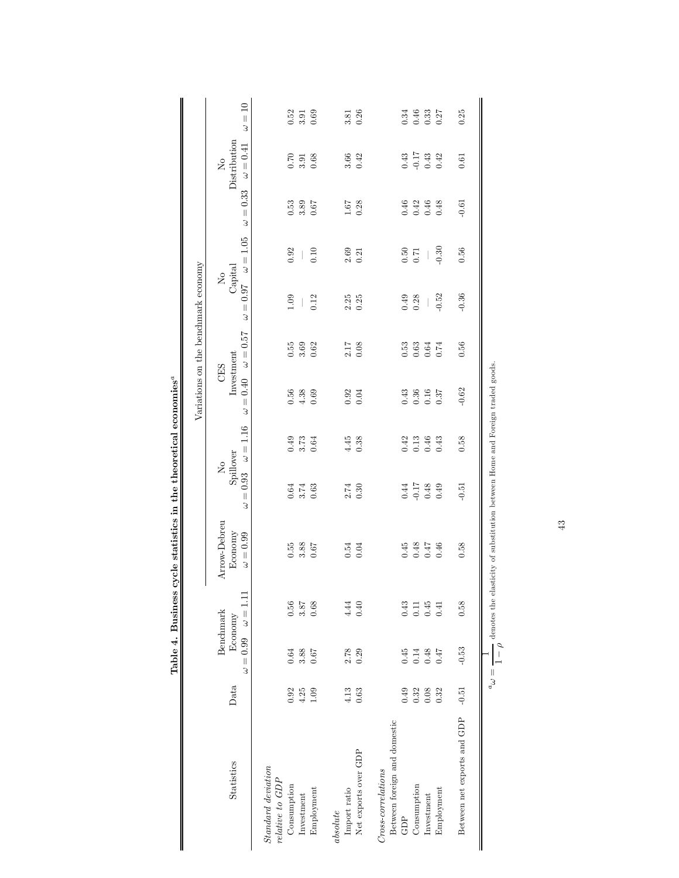|                                       |         | Lable 4. Dusliess          |                              | cycle statistics in the theoretical economies |                                        |               | Variations on the benchmark economy |                 |                           |               |          |                                                 |       |
|---------------------------------------|---------|----------------------------|------------------------------|-----------------------------------------------|----------------------------------------|---------------|-------------------------------------|-----------------|---------------------------|---------------|----------|-------------------------------------------------|-------|
| Statistics                            | Data    | Economy<br>$\omega = 0.99$ | $\omega = 1.11$<br>Benchmark | Arrow-Debreu<br>Economy<br>$\omega=0.99$      | No<br>Spillover<br>0.93<br>$\mid \mid$ | $\omega=1.16$ | Investment<br>CES<br>$= 0.40$       | $\omega = 0.57$ | No<br>Capital<br>$= 0.97$ | $\omega=1.05$ | $= 0.33$ | Distribution<br>$\omega=0.41$<br>$\overline{M}$ | $=10$ |
|                                       |         |                            |                              |                                               | 3                                      |               | 3                                   |                 | 3                         |               | 3        |                                                 | 3     |
| Standard deviation<br>relative to GDP |         |                            |                              |                                               |                                        |               |                                     |                 |                           |               |          |                                                 |       |
| Consumption                           | 0.92    | 0.64                       | 0.56                         | 0.55                                          | 0.64                                   | 0.49          | 0.56                                | 0.55            | 1.09                      | 0.92          | 0.53     | 0.70                                            | 0.52  |
| $Investment$                          | $4.25$  | 3.88                       | 3.87                         | 3.88                                          | 3.74                                   | 3.73          | 4.38                                | 3.69            |                           |               | 3.89     | 3.91                                            | 3.91  |
| Employment                            | 1.09    | 0.67                       | 0.68                         | 0.67                                          | 0.63                                   | 0.64          | 0.69                                | 0.62            | 0.12                      | 0.10          | 0.67     | 0.68                                            | 0.69  |
| $\label{def:absolute} absolute$       |         |                            |                              |                                               |                                        |               |                                     |                 |                           |               |          |                                                 |       |
| Import ratio                          | 4.13    | 2.78                       | 4.44                         | 0.54                                          | 2.74                                   | 4.45          |                                     | 2.17            | 2.25                      | 2.69          | 1.67     | 3.66                                            | 3.81  |
| Net exports over GDP                  | 0.63    | 0.29                       | 0.40                         | 0.04                                          | 0.30                                   | 0.38          | $0.92$<br>$0.04$                    | 0.08            | 0.25                      | 0.21          | 0.28     | 0.42                                            | 0.26  |
| $Cross-correlations$                  |         |                            |                              |                                               |                                        |               |                                     |                 |                           |               |          |                                                 |       |
| Between foreign and domestic          |         |                            |                              |                                               |                                        |               |                                     |                 |                           |               |          |                                                 |       |
| GDP                                   | 0.49    | 0.45                       | 0.43                         | 0.45                                          | 0.44                                   | 0.42          |                                     | 0.53            | 0.49                      | 0.50          | $0.46\,$ | 0.43                                            | 0.34  |
| Consumption                           | 0.32    | 0.14                       | 0.11                         | 0.48                                          | $-0.17$                                | 0.13          | $0.43$<br>$0.36$                    | 0.63            | 0.28                      | 0.71          | 0.42     | $-0.17$<br>0.43                                 | 0.46  |
| $Iuvestment$                          | 0.08    | 0.48                       | 0.45                         | 71.0                                          | 0.48                                   | 0.46          | 0.16                                | 0.64            |                           | I             | $0.46\,$ |                                                 | 0.33  |
| Employment                            | 0.32    | 71.0                       | 0.41                         | 0.46                                          | 0.49                                   | 0.43          | 0.37                                | 0.74            | $-0.52$                   | $-0.30$       | 0.48     | 0.42                                            | 0.27  |
| Between net exports and GDP           | $-0.51$ | $-0.53$                    | 0.58                         | 0.58                                          | $-0.51$                                | 0.58          | $-0.62$                             | 0.56            | $-0.36$                   | 0.56          | $-0.61$  | 0.61                                            | 0.25  |
|                                       |         |                            |                              |                                               |                                        |               |                                     |                 |                           |               |          |                                                 |       |
|                                       |         |                            |                              |                                               |                                        |               |                                     |                 |                           |               |          |                                                 |       |

Table 4. Business cycle statistics in the theoretical economies<sup>®</sup> Table 4. Business cycle statistics in the theoretical economies<sup>a</sup>

 $\alpha_a$  $\overline{a}$   $\overline{a}$  $\frac{1}{1-\rho}$  denotes the elasticity of substitution between Home and Foreign traded goods.

43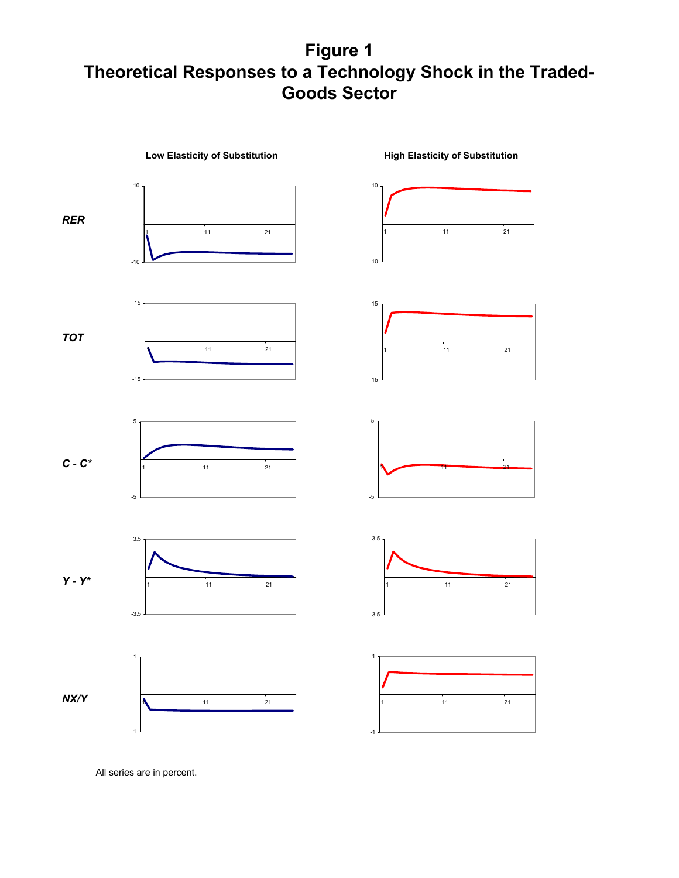# **Figure 1 Theoretical Responses to a Technology Shock in the Traded-Goods Sector**



All series are in percent.